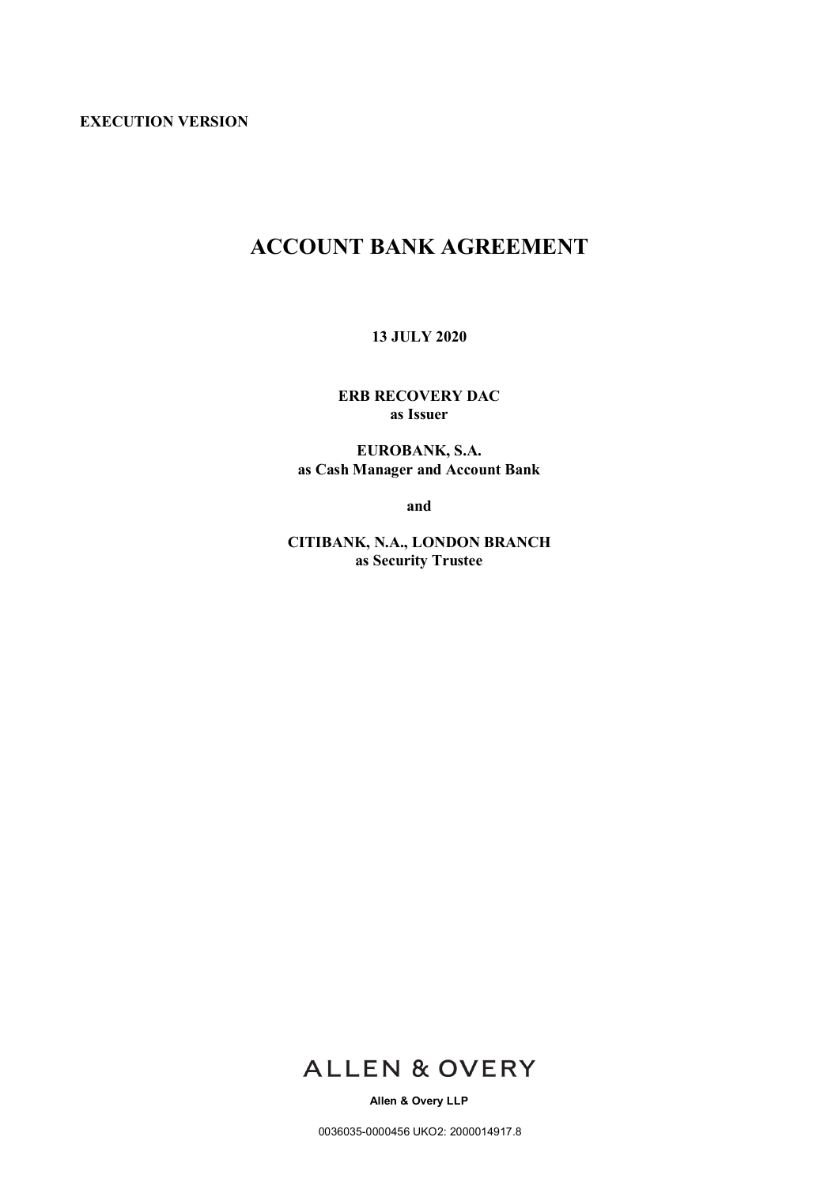**EXECUTION VERSION**

# **ACCOUNT BANK AGREEMENT**

**13 JULY 2020**

**ERB RECOVERY DAC as Issuer**

**EUROBANK, S.A. as Cash Manager and Account Bank**

**and**

**CITIBANK, N.A., LONDON BRANCH as Security Trustee**



**Allen & Overy LLP**

0036035-0000456 UKO2: 2000014917.8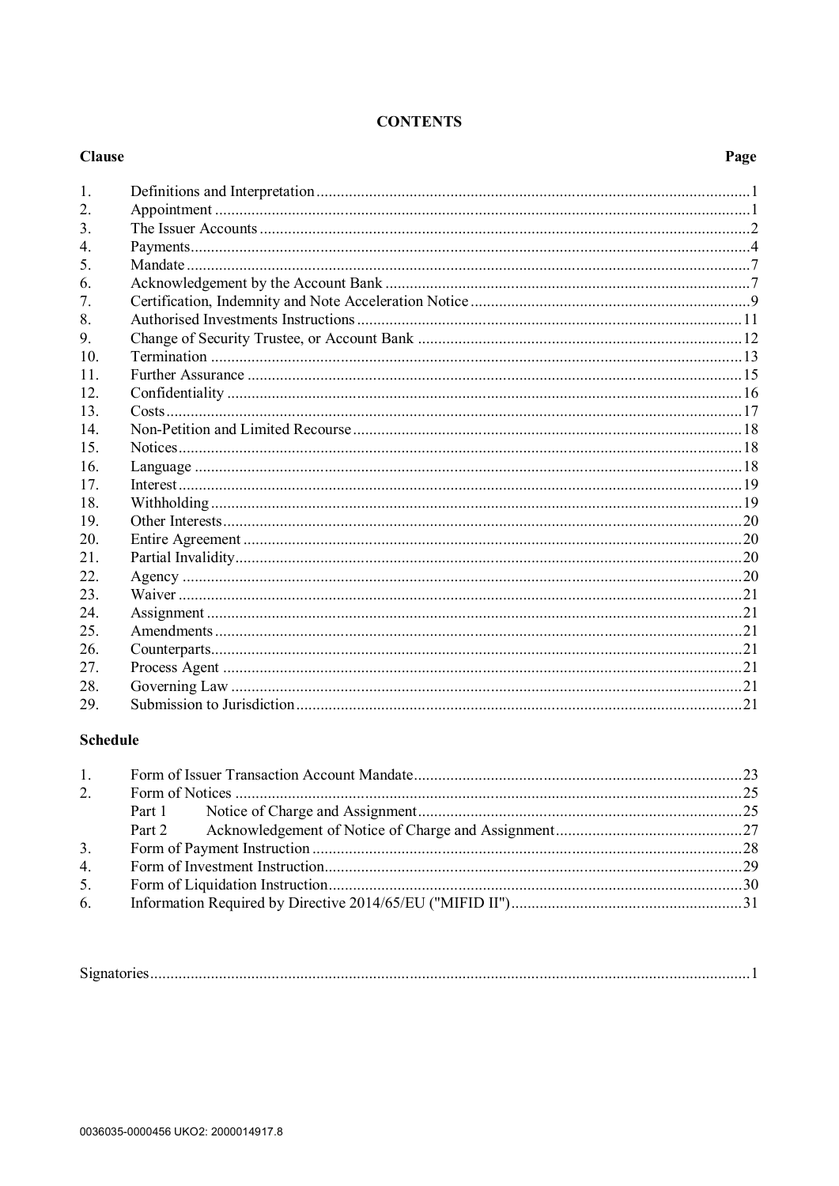| <b>CONTENTS</b> |
|-----------------|
|                 |

| <b>Clause</b>    | Page |
|------------------|------|
| 1.               |      |
| 2.               |      |
| 3.               |      |
| $\overline{4}$ . |      |
| 5.               |      |
| 6.               |      |
| 7.               |      |
| 8.               |      |
| 9.               |      |
| 10.              |      |
| 11               |      |
| 12               |      |
| 13.              |      |
| 14               |      |
| 15.              |      |
| 16.              |      |
| 17               |      |
| 18.              |      |
| 19               |      |
| 20.              |      |
| 21.              |      |
| 22.              |      |
| 23.              |      |
| 24.              |      |
| 25               |      |
| 26.              |      |
| 27.              |      |
| 28.              |      |
| 29.              |      |

# **Schedule**

| 1.             |  |  |  |
|----------------|--|--|--|
| 2.             |  |  |  |
|                |  |  |  |
|                |  |  |  |
| 3.             |  |  |  |
| 4 <sub>1</sub> |  |  |  |
| 5.             |  |  |  |
| 6.             |  |  |  |
|                |  |  |  |

| $\sim$<br>זוי |
|---------------|
|---------------|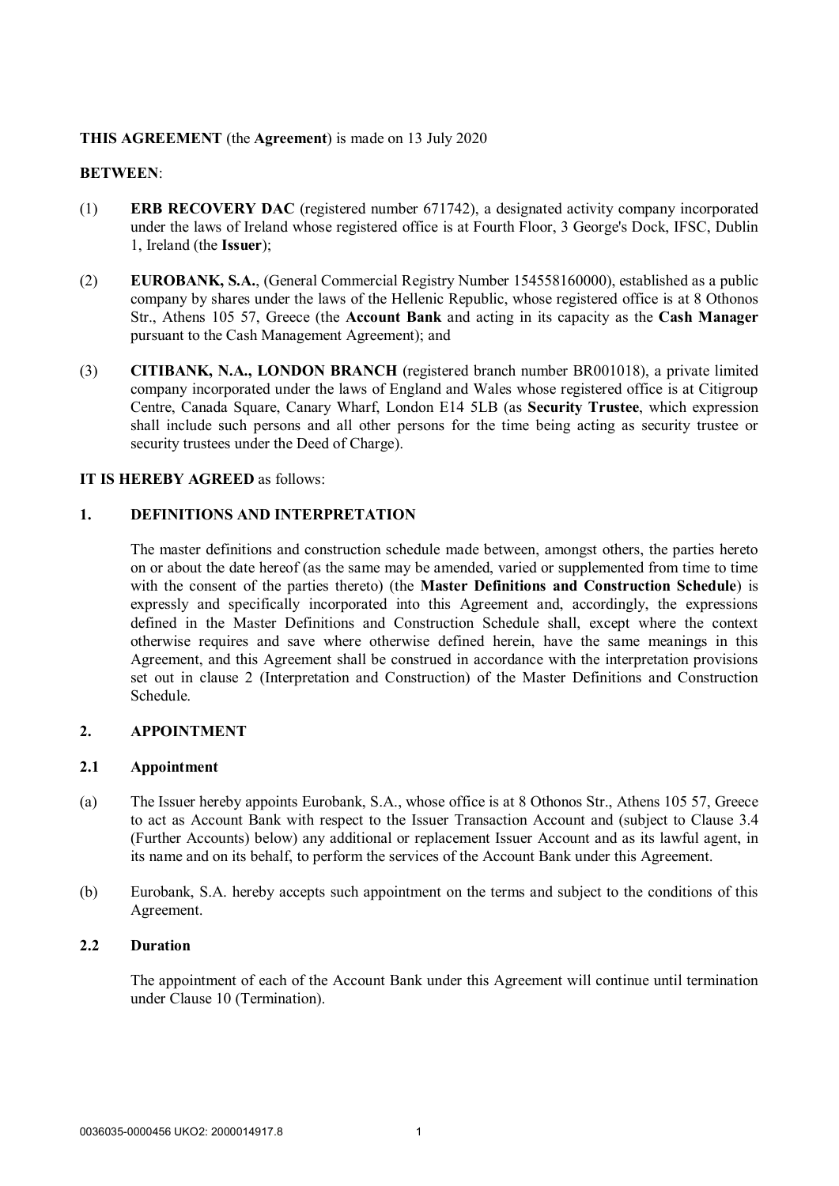# **THIS AGREEMENT** (the **Agreement**) is made on 13 July 2020

## **BETWEEN**:

- (1) **ERB RECOVERY DAC** (registered number 671742), a designated activity company incorporated under the laws of Ireland whose registered office is at Fourth Floor, 3 George's Dock, IFSC, Dublin 1, Ireland (the **Issuer**);
- (2) **EUROBANK, S.A.**, (General Commercial Registry Number 154558160000), established as a public company by shares under the laws of the Hellenic Republic, whose registered office is at 8 Othonos Str., Athens 105 57, Greece (the **Account Bank** and acting in its capacity as the **Cash Manager** pursuant to the Cash Management Agreement); and
- (3) **CITIBANK, N.A., LONDON BRANCH** (registered branch number BR001018), a private limited company incorporated under the laws of England and Wales whose registered office is at Citigroup Centre, Canada Square, Canary Wharf, London E14 5LB (as **Security Trustee**, which expression shall include such persons and all other persons for the time being acting as security trustee or security trustees under the Deed of Charge).

### **IT IS HEREBY AGREED** as follows:

# **1. DEFINITIONS AND INTERPRETATION**

The master definitions and construction schedule made between, amongst others, the parties hereto on or about the date hereof (as the same may be amended, varied or supplemented from time to time with the consent of the parties thereto) (the **Master Definitions and Construction Schedule**) is expressly and specifically incorporated into this Agreement and, accordingly, the expressions defined in the Master Definitions and Construction Schedule shall, except where the context otherwise requires and save where otherwise defined herein, have the same meanings in this Agreement, and this Agreement shall be construed in accordance with the interpretation provisions set out in clause 2 (Interpretation and Construction) of the Master Definitions and Construction Schedule.

### **2. APPOINTMENT**

### **2.1 Appointment**

- (a) The Issuer hereby appoints Eurobank, S.A., whose office is at 8 Othonos Str., Athens 105 57, Greece to act as Account Bank with respect to the Issuer Transaction Account and (subject to Clause 3.4 (Further Accounts) below) any additional or replacement Issuer Account and as its lawful agent, in its name and on its behalf, to perform the services of the Account Bank under this Agreement.
- (b) Eurobank, S.A. hereby accepts such appointment on the terms and subject to the conditions of this Agreement.

### **2.2 Duration**

The appointment of each of the Account Bank under this Agreement will continue until termination under Clause 10 (Termination).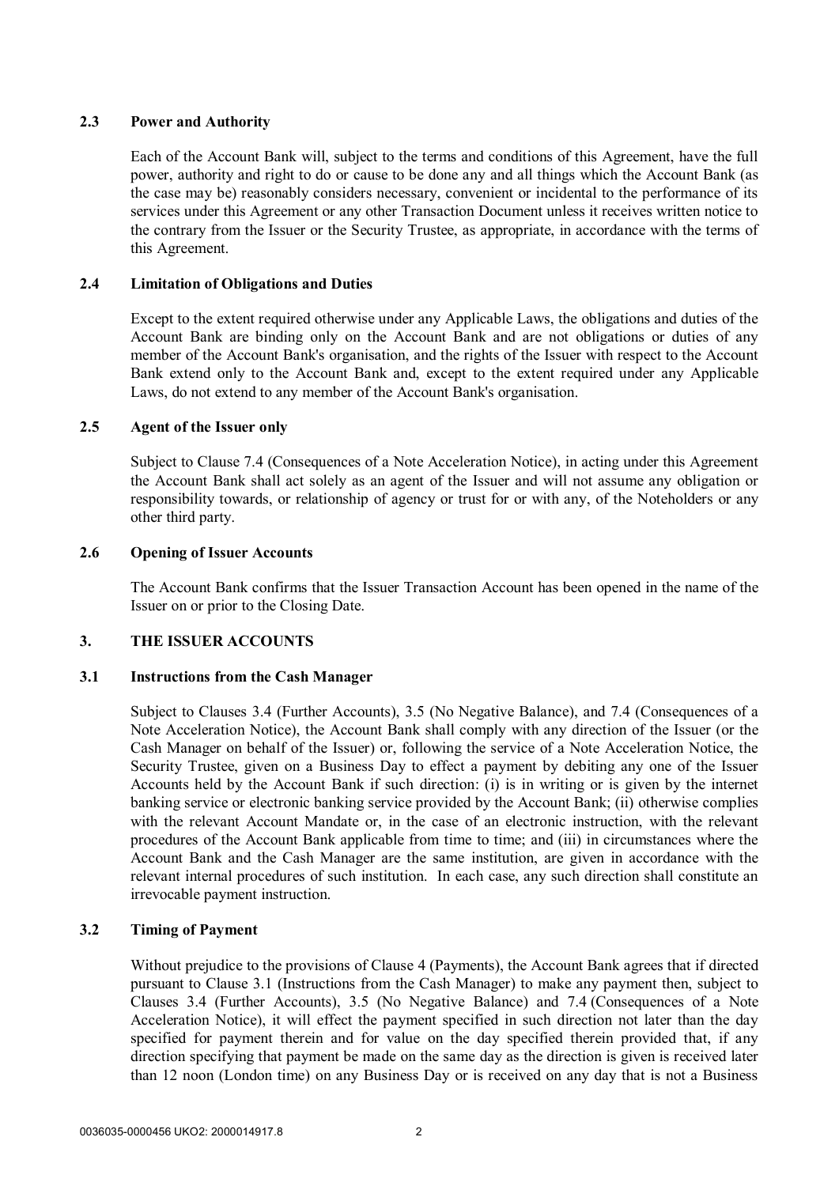## **2.3 Power and Authority**

Each of the Account Bank will, subject to the terms and conditions of this Agreement, have the full power, authority and right to do or cause to be done any and all things which the Account Bank (as the case may be) reasonably considers necessary, convenient or incidental to the performance of its services under this Agreement or any other Transaction Document unless it receives written notice to the contrary from the Issuer or the Security Trustee, as appropriate, in accordance with the terms of this Agreement.

# **2.4 Limitation of Obligations and Duties**

Except to the extent required otherwise under any Applicable Laws, the obligations and duties of the Account Bank are binding only on the Account Bank and are not obligations or duties of any member of the Account Bank's organisation, and the rights of the Issuer with respect to the Account Bank extend only to the Account Bank and, except to the extent required under any Applicable Laws, do not extend to any member of the Account Bank's organisation.

# **2.5 Agent of the Issuer only**

Subject to Clause 7.4 (Consequences of a Note Acceleration Notice), in acting under this Agreement the Account Bank shall act solely as an agent of the Issuer and will not assume any obligation or responsibility towards, or relationship of agency or trust for or with any, of the Noteholders or any other third party.

# **2.6 Opening of Issuer Accounts**

The Account Bank confirms that the Issuer Transaction Account has been opened in the name of the Issuer on or prior to the Closing Date.

# **3. THE ISSUER ACCOUNTS**

### **3.1 Instructions from the Cash Manager**

Subject to Clauses 3.4 (Further Accounts), 3.5 (No Negative Balance), and 7.4 (Consequences of a Note Acceleration Notice), the Account Bank shall comply with any direction of the Issuer (or the Cash Manager on behalf of the Issuer) or, following the service of a Note Acceleration Notice, the Security Trustee, given on a Business Day to effect a payment by debiting any one of the Issuer Accounts held by the Account Bank if such direction: (i) is in writing or is given by the internet banking service or electronic banking service provided by the Account Bank; (ii) otherwise complies with the relevant Account Mandate or, in the case of an electronic instruction, with the relevant procedures of the Account Bank applicable from time to time; and (iii) in circumstances where the Account Bank and the Cash Manager are the same institution, are given in accordance with the relevant internal procedures of such institution. In each case, any such direction shall constitute an irrevocable payment instruction.

### **3.2 Timing of Payment**

Without prejudice to the provisions of Clause 4 (Payments), the Account Bank agrees that if directed pursuant to Clause 3.1 (Instructions from the Cash Manager) to make any payment then, subject to Clauses 3.4 (Further Accounts), 3.5 (No Negative Balance) and 7.4 (Consequences of a Note Acceleration Notice), it will effect the payment specified in such direction not later than the day specified for payment therein and for value on the day specified therein provided that, if any direction specifying that payment be made on the same day as the direction is given is received later than 12 noon (London time) on any Business Day or is received on any day that is not a Business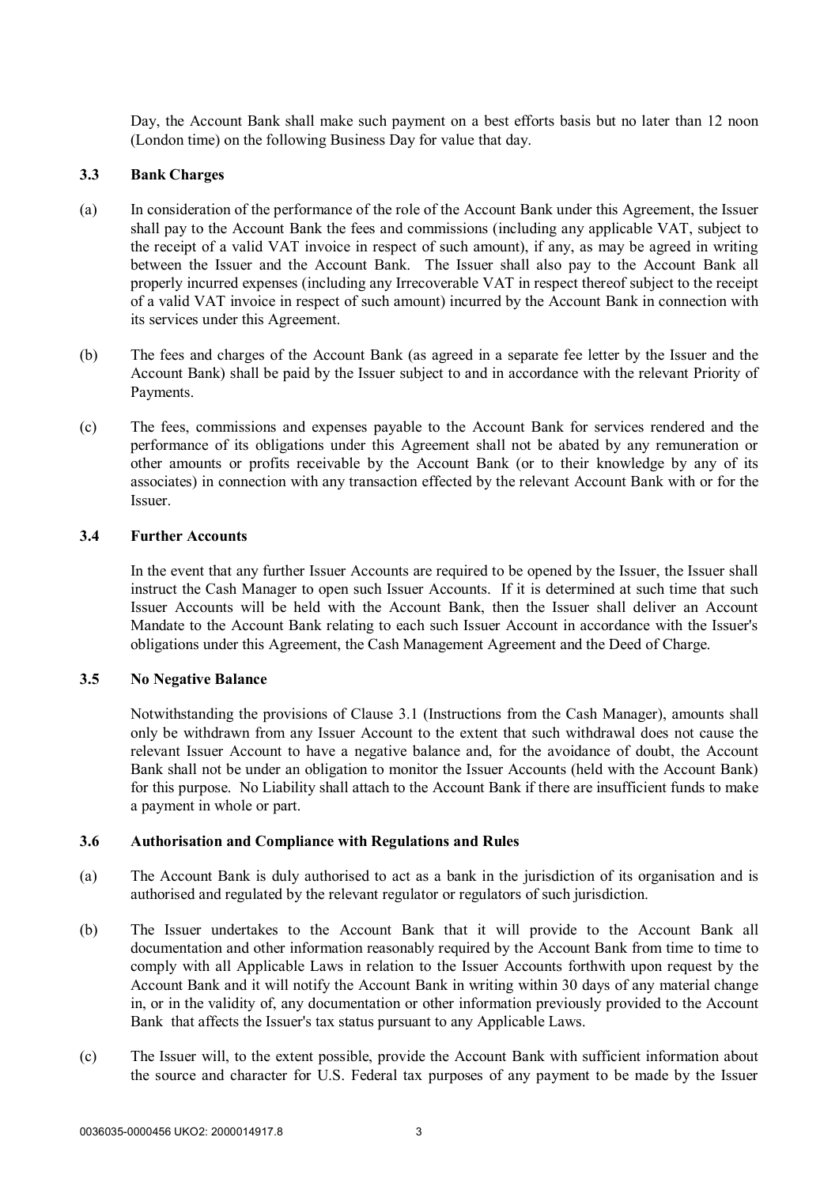Day, the Account Bank shall make such payment on a best efforts basis but no later than 12 noon (London time) on the following Business Day for value that day.

#### **3.3 Bank Charges**

- (a) In consideration of the performance of the role of the Account Bank under this Agreement, the Issuer shall pay to the Account Bank the fees and commissions (including any applicable VAT, subject to the receipt of a valid VAT invoice in respect of such amount), if any, as may be agreed in writing between the Issuer and the Account Bank. The Issuer shall also pay to the Account Bank all properly incurred expenses (including any Irrecoverable VAT in respect thereof subject to the receipt of a valid VAT invoice in respect of such amount) incurred by the Account Bank in connection with its services under this Agreement.
- (b) The fees and charges of the Account Bank (as agreed in a separate fee letter by the Issuer and the Account Bank) shall be paid by the Issuer subject to and in accordance with the relevant Priority of Payments.
- (c) The fees, commissions and expenses payable to the Account Bank for services rendered and the performance of its obligations under this Agreement shall not be abated by any remuneration or other amounts or profits receivable by the Account Bank (or to their knowledge by any of its associates) in connection with any transaction effected by the relevant Account Bank with or for the Issuer.

#### **3.4 Further Accounts**

In the event that any further Issuer Accounts are required to be opened by the Issuer, the Issuer shall instruct the Cash Manager to open such Issuer Accounts. If it is determined at such time that such Issuer Accounts will be held with the Account Bank, then the Issuer shall deliver an Account Mandate to the Account Bank relating to each such Issuer Account in accordance with the Issuer's obligations under this Agreement, the Cash Management Agreement and the Deed of Charge.

#### **3.5 No Negative Balance**

Notwithstanding the provisions of Clause 3.1 (Instructions from the Cash Manager), amounts shall only be withdrawn from any Issuer Account to the extent that such withdrawal does not cause the relevant Issuer Account to have a negative balance and, for the avoidance of doubt, the Account Bank shall not be under an obligation to monitor the Issuer Accounts (held with the Account Bank) for this purpose. No Liability shall attach to the Account Bank if there are insufficient funds to make a payment in whole or part.

#### **3.6 Authorisation and Compliance with Regulations and Rules**

- (a) The Account Bank is duly authorised to act as a bank in the jurisdiction of its organisation and is authorised and regulated by the relevant regulator or regulators of such jurisdiction.
- (b) The Issuer undertakes to the Account Bank that it will provide to the Account Bank all documentation and other information reasonably required by the Account Bank from time to time to comply with all Applicable Laws in relation to the Issuer Accounts forthwith upon request by the Account Bank and it will notify the Account Bank in writing within 30 days of any material change in, or in the validity of, any documentation or other information previously provided to the Account Bank that affects the Issuer's tax status pursuant to any Applicable Laws.
- (c) The Issuer will, to the extent possible, provide the Account Bank with sufficient information about the source and character for U.S. Federal tax purposes of any payment to be made by the Issuer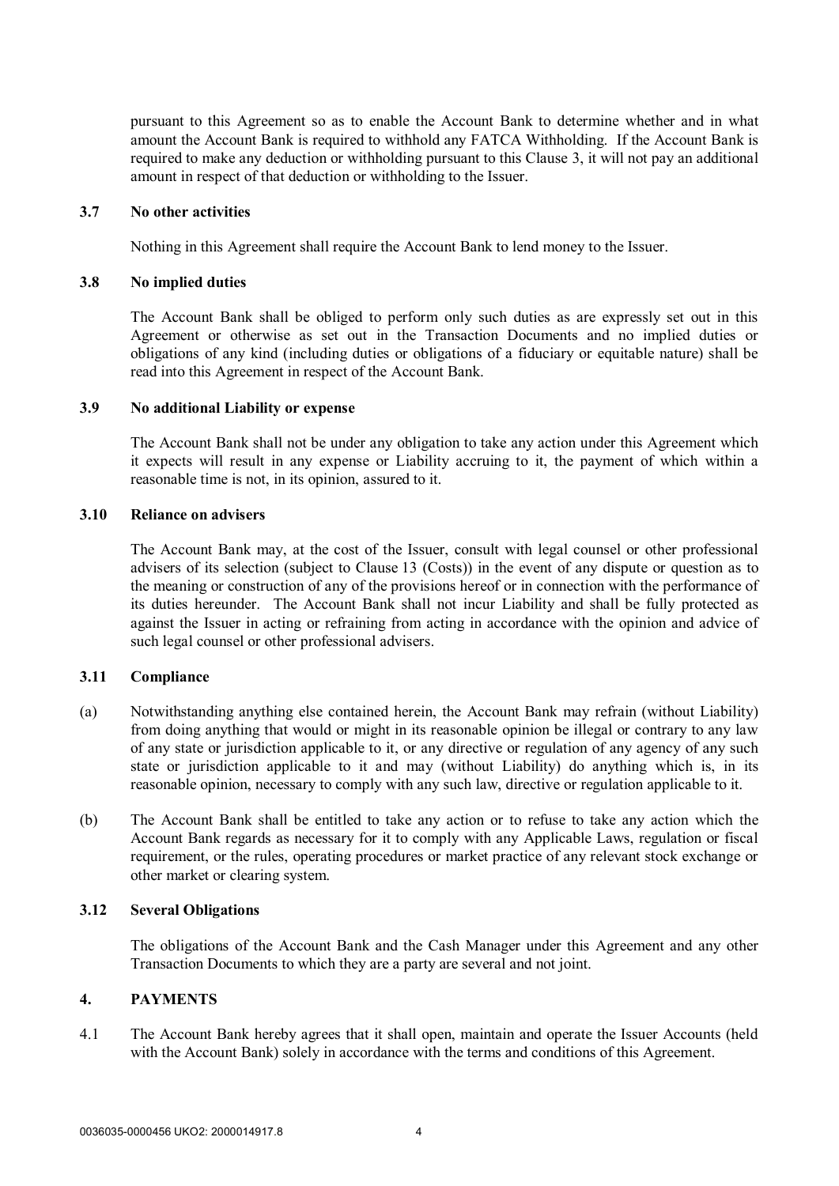pursuant to this Agreement so as to enable the Account Bank to determine whether and in what amount the Account Bank is required to withhold any FATCA Withholding. If the Account Bank is required to make any deduction or withholding pursuant to this Clause 3, it will not pay an additional amount in respect of that deduction or withholding to the Issuer.

#### **3.7 No other activities**

Nothing in this Agreement shall require the Account Bank to lend money to the Issuer.

#### **3.8 No implied duties**

The Account Bank shall be obliged to perform only such duties as are expressly set out in this Agreement or otherwise as set out in the Transaction Documents and no implied duties or obligations of any kind (including duties or obligations of a fiduciary or equitable nature) shall be read into this Agreement in respect of the Account Bank.

#### **3.9 No additional Liability or expense**

The Account Bank shall not be under any obligation to take any action under this Agreement which it expects will result in any expense or Liability accruing to it, the payment of which within a reasonable time is not, in its opinion, assured to it.

#### **3.10 Reliance on advisers**

The Account Bank may, at the cost of the Issuer, consult with legal counsel or other professional advisers of its selection (subject to Clause 13 (Costs)) in the event of any dispute or question as to the meaning or construction of any of the provisions hereof or in connection with the performance of its duties hereunder. The Account Bank shall not incur Liability and shall be fully protected as against the Issuer in acting or refraining from acting in accordance with the opinion and advice of such legal counsel or other professional advisers.

### **3.11 Compliance**

- (a) Notwithstanding anything else contained herein, the Account Bank may refrain (without Liability) from doing anything that would or might in its reasonable opinion be illegal or contrary to any law of any state or jurisdiction applicable to it, or any directive or regulation of any agency of any such state or jurisdiction applicable to it and may (without Liability) do anything which is, in its reasonable opinion, necessary to comply with any such law, directive or regulation applicable to it.
- (b) The Account Bank shall be entitled to take any action or to refuse to take any action which the Account Bank regards as necessary for it to comply with any Applicable Laws, regulation or fiscal requirement, or the rules, operating procedures or market practice of any relevant stock exchange or other market or clearing system.

## **3.12 Several Obligations**

The obligations of the Account Bank and the Cash Manager under this Agreement and any other Transaction Documents to which they are a party are several and not joint.

#### **4. PAYMENTS**

4.1 The Account Bank hereby agrees that it shall open, maintain and operate the Issuer Accounts (held with the Account Bank) solely in accordance with the terms and conditions of this Agreement.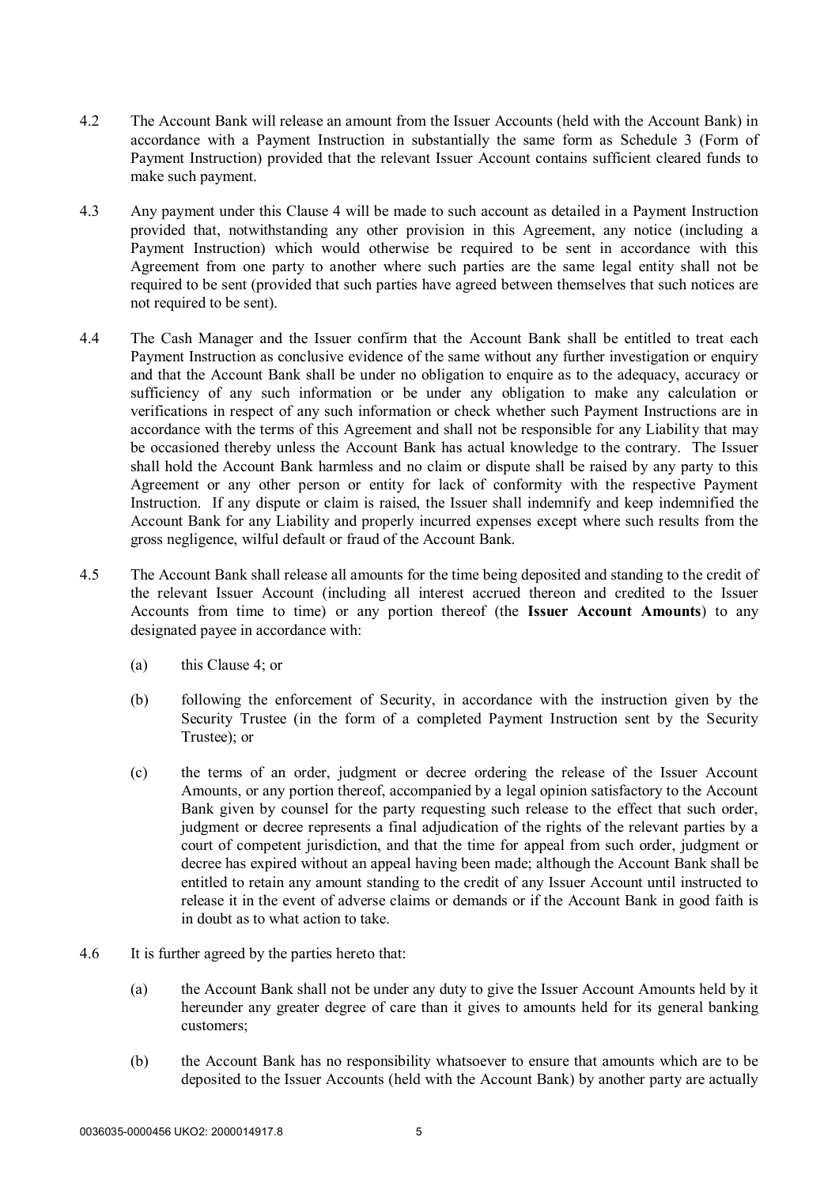- 4.2 The Account Bank will release an amount from the Issuer Accounts (held with the Account Bank) in accordance with a Payment Instruction in substantially the same form as Schedule 3 (Form of Payment Instruction) provided that the relevant Issuer Account contains sufficient cleared funds to make such payment.
- 4.3 Any payment under this Clause 4 will be made to such account as detailed in a Payment Instruction provided that, notwithstanding any other provision in this Agreement, any notice (including a Payment Instruction) which would otherwise be required to be sent in accordance with this Agreement from one party to another where such parties are the same legal entity shall not be required to be sent (provided that such parties have agreed between themselves that such notices are not required to be sent).
- 4.4 The Cash Manager and the Issuer confirm that the Account Bank shall be entitled to treat each Payment Instruction as conclusive evidence of the same without any further investigation or enquiry and that the Account Bank shall be under no obligation to enquire as to the adequacy, accuracy or sufficiency of any such information or be under any obligation to make any calculation or verifications in respect of any such information or check whether such Payment Instructions are in accordance with the terms of this Agreement and shall not be responsible for any Liability that may be occasioned thereby unless the Account Bank has actual knowledge to the contrary. The Issuer shall hold the Account Bank harmless and no claim or dispute shall be raised by any party to this Agreement or any other person or entity for lack of conformity with the respective Payment Instruction. If any dispute or claim is raised, the Issuer shall indemnify and keep indemnified the Account Bank for any Liability and properly incurred expenses except where such results from the gross negligence, wilful default or fraud of the Account Bank.
- 4.5 The Account Bank shall release all amounts for the time being deposited and standing to the credit of the relevant Issuer Account (including all interest accrued thereon and credited to the Issuer Accounts from time to time) or any portion thereof (the **Issuer Account Amounts**) to any designated payee in accordance with:
	- (a) this Clause 4; or
	- (b) following the enforcement of Security, in accordance with the instruction given by the Security Trustee (in the form of a completed Payment Instruction sent by the Security Trustee); or
	- (c) the terms of an order, judgment or decree ordering the release of the Issuer Account Amounts, or any portion thereof, accompanied by a legal opinion satisfactory to the Account Bank given by counsel for the party requesting such release to the effect that such order, judgment or decree represents a final adjudication of the rights of the relevant parties by a court of competent jurisdiction, and that the time for appeal from such order, judgment or decree has expired without an appeal having been made; although the Account Bank shall be entitled to retain any amount standing to the credit of any Issuer Account until instructed to release it in the event of adverse claims or demands or if the Account Bank in good faith is in doubt as to what action to take.
- 4.6 It is further agreed by the parties hereto that:
	- (a) the Account Bank shall not be under any duty to give the Issuer Account Amounts held by it hereunder any greater degree of care than it gives to amounts held for its general banking customers;
	- (b) the Account Bank has no responsibility whatsoever to ensure that amounts which are to be deposited to the Issuer Accounts (held with the Account Bank) by another party are actually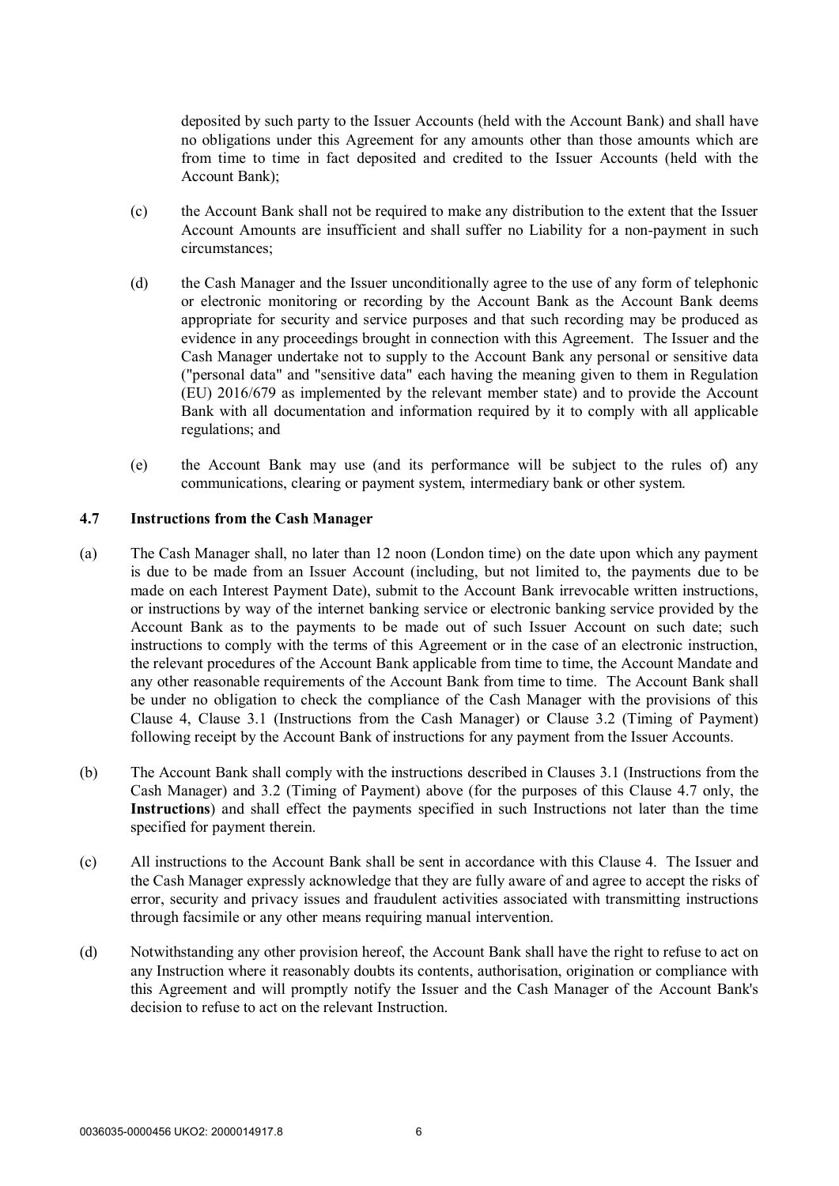deposited by such party to the Issuer Accounts (held with the Account Bank) and shall have no obligations under this Agreement for any amounts other than those amounts which are from time to time in fact deposited and credited to the Issuer Accounts (held with the Account Bank);

- (c) the Account Bank shall not be required to make any distribution to the extent that the Issuer Account Amounts are insufficient and shall suffer no Liability for a non-payment in such circumstances;
- (d) the Cash Manager and the Issuer unconditionally agree to the use of any form of telephonic or electronic monitoring or recording by the Account Bank as the Account Bank deems appropriate for security and service purposes and that such recording may be produced as evidence in any proceedings brought in connection with this Agreement. The Issuer and the Cash Manager undertake not to supply to the Account Bank any personal or sensitive data ("personal data" and "sensitive data" each having the meaning given to them in Regulation (EU) 2016/679 as implemented by the relevant member state) and to provide the Account Bank with all documentation and information required by it to comply with all applicable regulations; and
- (e) the Account Bank may use (and its performance will be subject to the rules of) any communications, clearing or payment system, intermediary bank or other system.

## **4.7 Instructions from the Cash Manager**

- (a) The Cash Manager shall, no later than 12 noon (London time) on the date upon which any payment is due to be made from an Issuer Account (including, but not limited to, the payments due to be made on each Interest Payment Date), submit to the Account Bank irrevocable written instructions, or instructions by way of the internet banking service or electronic banking service provided by the Account Bank as to the payments to be made out of such Issuer Account on such date; such instructions to comply with the terms of this Agreement or in the case of an electronic instruction, the relevant procedures of the Account Bank applicable from time to time, the Account Mandate and any other reasonable requirements of the Account Bank from time to time. The Account Bank shall be under no obligation to check the compliance of the Cash Manager with the provisions of this Clause 4, Clause 3.1 (Instructions from the Cash Manager) or Clause 3.2 (Timing of Payment) following receipt by the Account Bank of instructions for any payment from the Issuer Accounts.
- (b) The Account Bank shall comply with the instructions described in Clauses 3.1 (Instructions from the Cash Manager) and 3.2 (Timing of Payment) above (for the purposes of this Clause 4.7 only, the **Instructions**) and shall effect the payments specified in such Instructions not later than the time specified for payment therein.
- (c) All instructions to the Account Bank shall be sent in accordance with this Clause 4. The Issuer and the Cash Manager expressly acknowledge that they are fully aware of and agree to accept the risks of error, security and privacy issues and fraudulent activities associated with transmitting instructions through facsimile or any other means requiring manual intervention.
- (d) Notwithstanding any other provision hereof, the Account Bank shall have the right to refuse to act on any Instruction where it reasonably doubts its contents, authorisation, origination or compliance with this Agreement and will promptly notify the Issuer and the Cash Manager of the Account Bank's decision to refuse to act on the relevant Instruction.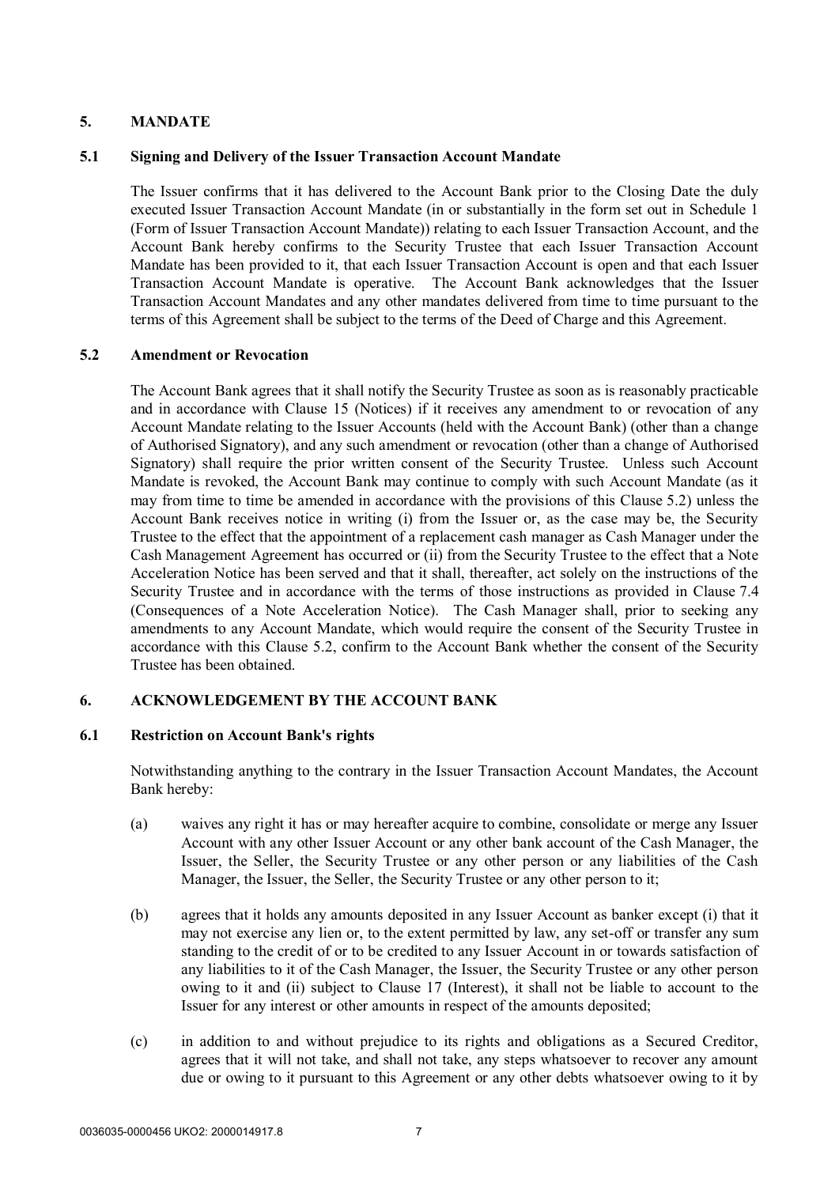# **5. MANDATE**

## **5.1 Signing and Delivery of the Issuer Transaction Account Mandate**

The Issuer confirms that it has delivered to the Account Bank prior to the Closing Date the duly executed Issuer Transaction Account Mandate (in or substantially in the form set out in Schedule 1 (Form of Issuer Transaction Account Mandate)) relating to each Issuer Transaction Account, and the Account Bank hereby confirms to the Security Trustee that each Issuer Transaction Account Mandate has been provided to it, that each Issuer Transaction Account is open and that each Issuer Transaction Account Mandate is operative. The Account Bank acknowledges that the Issuer Transaction Account Mandates and any other mandates delivered from time to time pursuant to the terms of this Agreement shall be subject to the terms of the Deed of Charge and this Agreement.

### **5.2 Amendment or Revocation**

The Account Bank agrees that it shall notify the Security Trustee as soon as is reasonably practicable and in accordance with Clause 15 (Notices) if it receives any amendment to or revocation of any Account Mandate relating to the Issuer Accounts (held with the Account Bank) (other than a change of Authorised Signatory), and any such amendment or revocation (other than a change of Authorised Signatory) shall require the prior written consent of the Security Trustee. Unless such Account Mandate is revoked, the Account Bank may continue to comply with such Account Mandate (as it may from time to time be amended in accordance with the provisions of this Clause 5.2) unless the Account Bank receives notice in writing (i) from the Issuer or, as the case may be, the Security Trustee to the effect that the appointment of a replacement cash manager as Cash Manager under the Cash Management Agreement has occurred or (ii) from the Security Trustee to the effect that a Note Acceleration Notice has been served and that it shall, thereafter, act solely on the instructions of the Security Trustee and in accordance with the terms of those instructions as provided in Clause 7.4 (Consequences of a Note Acceleration Notice). The Cash Manager shall, prior to seeking any amendments to any Account Mandate, which would require the consent of the Security Trustee in accordance with this Clause 5.2, confirm to the Account Bank whether the consent of the Security Trustee has been obtained.

### **6. ACKNOWLEDGEMENT BY THE ACCOUNT BANK**

### **6.1 Restriction on Account Bank's rights**

Notwithstanding anything to the contrary in the Issuer Transaction Account Mandates, the Account Bank hereby:

- (a) waives any right it has or may hereafter acquire to combine, consolidate or merge any Issuer Account with any other Issuer Account or any other bank account of the Cash Manager, the Issuer, the Seller, the Security Trustee or any other person or any liabilities of the Cash Manager, the Issuer, the Seller, the Security Trustee or any other person to it;
- (b) agrees that it holds any amounts deposited in any Issuer Account as banker except (i) that it may not exercise any lien or, to the extent permitted by law, any set-off or transfer any sum standing to the credit of or to be credited to any Issuer Account in or towards satisfaction of any liabilities to it of the Cash Manager, the Issuer, the Security Trustee or any other person owing to it and (ii) subject to Clause 17 (Interest), it shall not be liable to account to the Issuer for any interest or other amounts in respect of the amounts deposited;
- (c) in addition to and without prejudice to its rights and obligations as a Secured Creditor, agrees that it will not take, and shall not take, any steps whatsoever to recover any amount due or owing to it pursuant to this Agreement or any other debts whatsoever owing to it by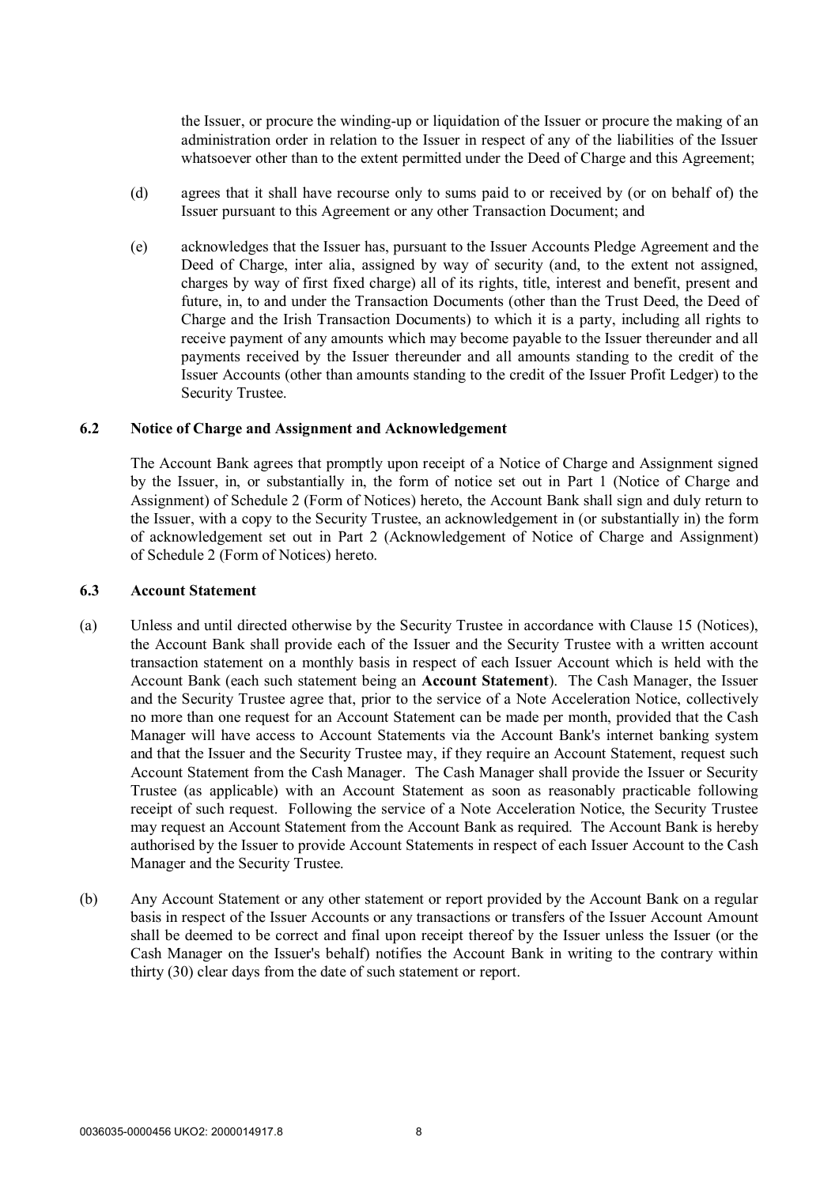the Issuer, or procure the winding-up or liquidation of the Issuer or procure the making of an administration order in relation to the Issuer in respect of any of the liabilities of the Issuer whatsoever other than to the extent permitted under the Deed of Charge and this Agreement;

- (d) agrees that it shall have recourse only to sums paid to or received by (or on behalf of) the Issuer pursuant to this Agreement or any other Transaction Document; and
- (e) acknowledges that the Issuer has, pursuant to the Issuer Accounts Pledge Agreement and the Deed of Charge, inter alia, assigned by way of security (and, to the extent not assigned, charges by way of first fixed charge) all of its rights, title, interest and benefit, present and future, in, to and under the Transaction Documents (other than the Trust Deed, the Deed of Charge and the Irish Transaction Documents) to which it is a party, including all rights to receive payment of any amounts which may become payable to the Issuer thereunder and all payments received by the Issuer thereunder and all amounts standing to the credit of the Issuer Accounts (other than amounts standing to the credit of the Issuer Profit Ledger) to the Security Trustee.

#### **6.2 Notice of Charge and Assignment and Acknowledgement**

The Account Bank agrees that promptly upon receipt of a Notice of Charge and Assignment signed by the Issuer, in, or substantially in, the form of notice set out in Part 1 (Notice of Charge and Assignment) of Schedule 2 (Form of Notices) hereto, the Account Bank shall sign and duly return to the Issuer, with a copy to the Security Trustee, an acknowledgement in (or substantially in) the form of acknowledgement set out in Part 2 (Acknowledgement of Notice of Charge and Assignment) of Schedule 2 (Form of Notices) hereto.

#### **6.3 Account Statement**

- (a) Unless and until directed otherwise by the Security Trustee in accordance with Clause 15 (Notices), the Account Bank shall provide each of the Issuer and the Security Trustee with a written account transaction statement on a monthly basis in respect of each Issuer Account which is held with the Account Bank (each such statement being an **Account Statement**). The Cash Manager, the Issuer and the Security Trustee agree that, prior to the service of a Note Acceleration Notice, collectively no more than one request for an Account Statement can be made per month, provided that the Cash Manager will have access to Account Statements via the Account Bank's internet banking system and that the Issuer and the Security Trustee may, if they require an Account Statement, request such Account Statement from the Cash Manager. The Cash Manager shall provide the Issuer or Security Trustee (as applicable) with an Account Statement as soon as reasonably practicable following receipt of such request. Following the service of a Note Acceleration Notice, the Security Trustee may request an Account Statement from the Account Bank as required. The Account Bank is hereby authorised by the Issuer to provide Account Statements in respect of each Issuer Account to the Cash Manager and the Security Trustee.
- (b) Any Account Statement or any other statement or report provided by the Account Bank on a regular basis in respect of the Issuer Accounts or any transactions or transfers of the Issuer Account Amount shall be deemed to be correct and final upon receipt thereof by the Issuer unless the Issuer (or the Cash Manager on the Issuer's behalf) notifies the Account Bank in writing to the contrary within thirty (30) clear days from the date of such statement or report.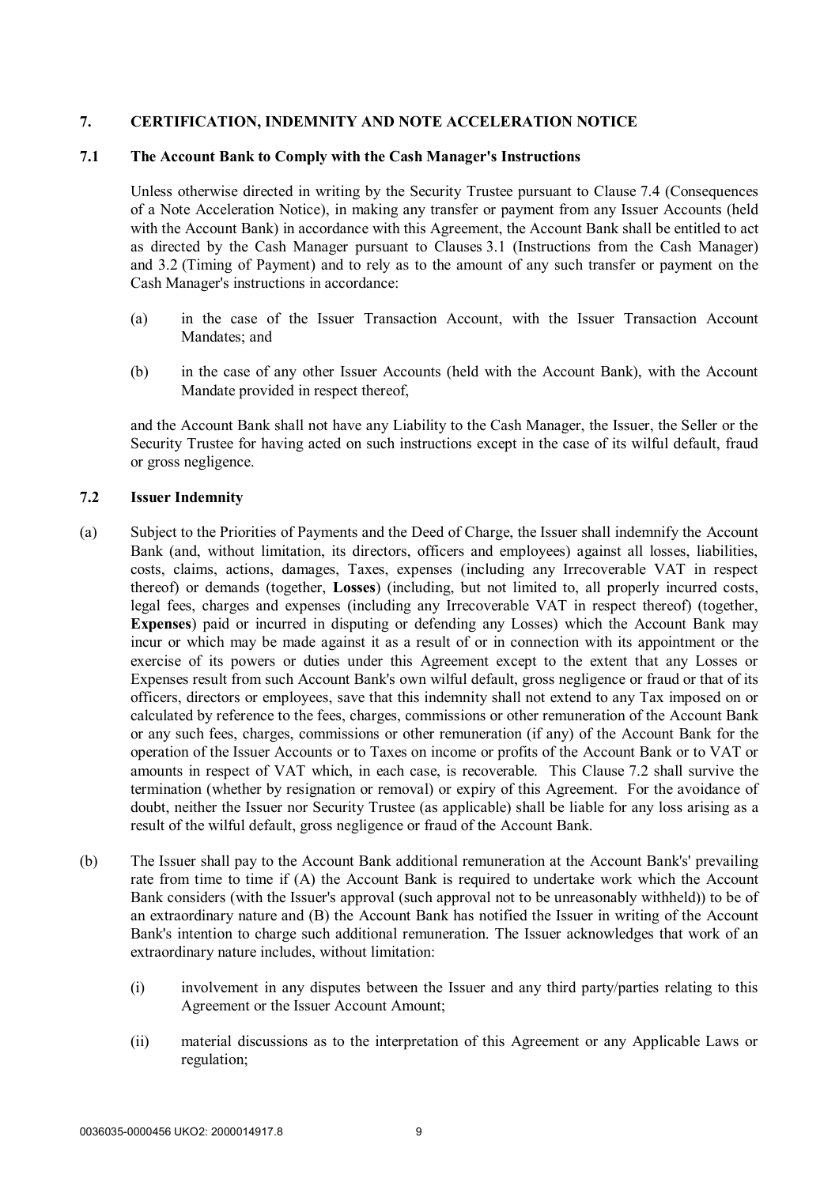# **7. CERTIFICATION, INDEMNITY AND NOTE ACCELERATION NOTICE**

#### **7.1 The Account Bank to Comply with the Cash Manager's Instructions**

Unless otherwise directed in writing by the Security Trustee pursuant to Clause 7.4 (Consequences of a Note Acceleration Notice), in making any transfer or payment from any Issuer Accounts (held with the Account Bank) in accordance with this Agreement, the Account Bank shall be entitled to act as directed by the Cash Manager pursuant to Clauses 3.1 (Instructions from the Cash Manager) and 3.2 (Timing of Payment) and to rely as to the amount of any such transfer or payment on the Cash Manager's instructions in accordance:

- (a) in the case of the Issuer Transaction Account, with the Issuer Transaction Account Mandates; and
- (b) in the case of any other Issuer Accounts (held with the Account Bank), with the Account Mandate provided in respect thereof,

and the Account Bank shall not have any Liability to the Cash Manager, the Issuer, the Seller or the Security Trustee for having acted on such instructions except in the case of its wilful default, fraud or gross negligence.

### **7.2 Issuer Indemnity**

- (a) Subject to the Priorities of Payments and the Deed of Charge, the Issuer shall indemnify the Account Bank (and, without limitation, its directors, officers and employees) against all losses, liabilities, costs, claims, actions, damages, Taxes, expenses (including any Irrecoverable VAT in respect thereof) or demands (together, **Losses**) (including, but not limited to, all properly incurred costs, legal fees, charges and expenses (including any Irrecoverable VAT in respect thereof) (together, **Expenses**) paid or incurred in disputing or defending any Losses) which the Account Bank may incur or which may be made against it as a result of or in connection with its appointment or the exercise of its powers or duties under this Agreement except to the extent that any Losses or Expenses result from such Account Bank's own wilful default, gross negligence or fraud or that of its officers, directors or employees, save that this indemnity shall not extend to any Tax imposed on or calculated by reference to the fees, charges, commissions or other remuneration of the Account Bank or any such fees, charges, commissions or other remuneration (if any) of the Account Bank for the operation of the Issuer Accounts or to Taxes on income or profits of the Account Bank or to VAT or amounts in respect of VAT which, in each case, is recoverable. This Clause 7.2 shall survive the termination (whether by resignation or removal) or expiry of this Agreement. For the avoidance of doubt, neither the Issuer nor Security Trustee (as applicable) shall be liable for any loss arising as a result of the wilful default, gross negligence or fraud of the Account Bank.
- (b) The Issuer shall pay to the Account Bank additional remuneration at the Account Bank's' prevailing rate from time to time if (A) the Account Bank is required to undertake work which the Account Bank considers (with the Issuer's approval (such approval not to be unreasonably withheld)) to be of an extraordinary nature and (B) the Account Bank has notified the Issuer in writing of the Account Bank's intention to charge such additional remuneration. The Issuer acknowledges that work of an extraordinary nature includes, without limitation:
	- (i) involvement in any disputes between the Issuer and any third party/parties relating to this Agreement or the Issuer Account Amount;
	- (ii) material discussions as to the interpretation of this Agreement or any Applicable Laws or regulation;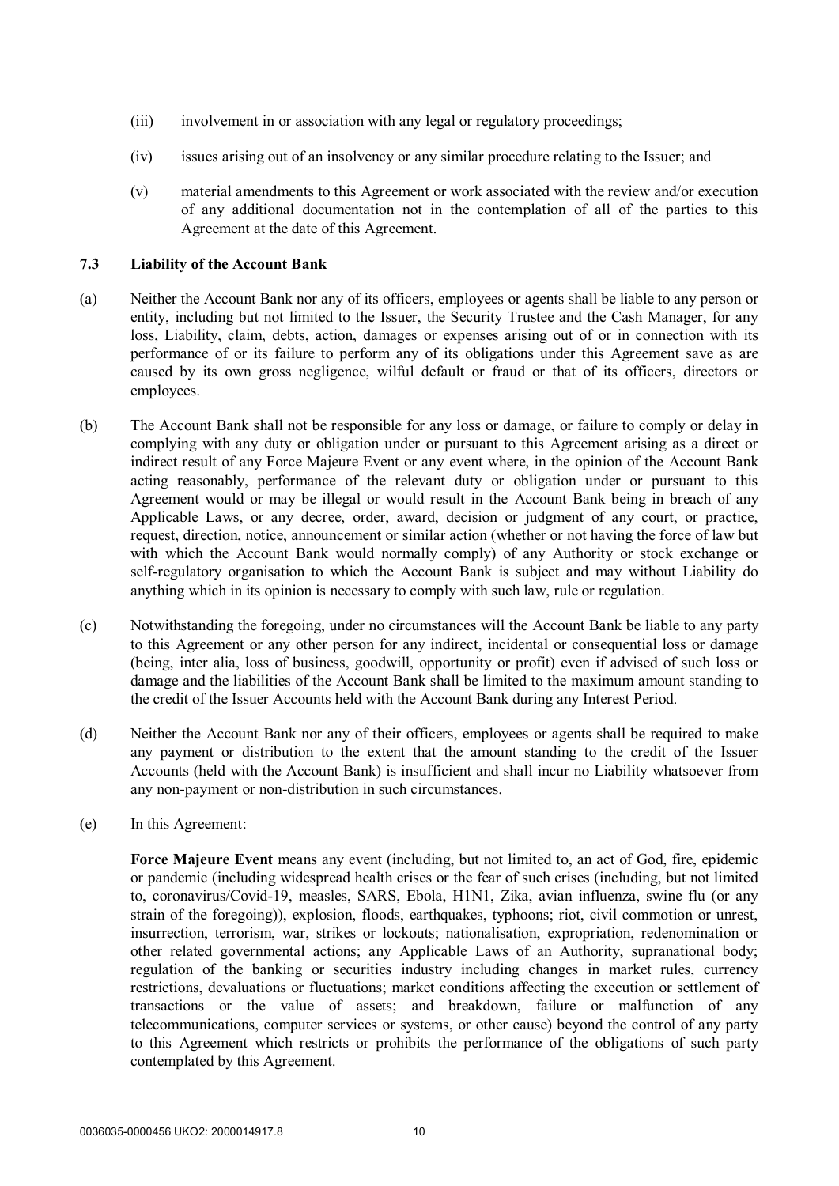- (iii) involvement in or association with any legal or regulatory proceedings;
- (iv) issues arising out of an insolvency or any similar procedure relating to the Issuer; and
- (v) material amendments to this Agreement or work associated with the review and/or execution of any additional documentation not in the contemplation of all of the parties to this Agreement at the date of this Agreement.

### **7.3 Liability of the Account Bank**

- (a) Neither the Account Bank nor any of its officers, employees or agents shall be liable to any person or entity, including but not limited to the Issuer, the Security Trustee and the Cash Manager, for any loss, Liability, claim, debts, action, damages or expenses arising out of or in connection with its performance of or its failure to perform any of its obligations under this Agreement save as are caused by its own gross negligence, wilful default or fraud or that of its officers, directors or employees.
- (b) The Account Bank shall not be responsible for any loss or damage, or failure to comply or delay in complying with any duty or obligation under or pursuant to this Agreement arising as a direct or indirect result of any Force Majeure Event or any event where, in the opinion of the Account Bank acting reasonably, performance of the relevant duty or obligation under or pursuant to this Agreement would or may be illegal or would result in the Account Bank being in breach of any Applicable Laws, or any decree, order, award, decision or judgment of any court, or practice, request, direction, notice, announcement or similar action (whether or not having the force of law but with which the Account Bank would normally comply) of any Authority or stock exchange or self-regulatory organisation to which the Account Bank is subject and may without Liability do anything which in its opinion is necessary to comply with such law, rule or regulation.
- (c) Notwithstanding the foregoing, under no circumstances will the Account Bank be liable to any party to this Agreement or any other person for any indirect, incidental or consequential loss or damage (being, inter alia, loss of business, goodwill, opportunity or profit) even if advised of such loss or damage and the liabilities of the Account Bank shall be limited to the maximum amount standing to the credit of the Issuer Accounts held with the Account Bank during any Interest Period.
- (d) Neither the Account Bank nor any of their officers, employees or agents shall be required to make any payment or distribution to the extent that the amount standing to the credit of the Issuer Accounts (held with the Account Bank) is insufficient and shall incur no Liability whatsoever from any non-payment or non-distribution in such circumstances.
- (e) In this Agreement:

**Force Majeure Event** means any event (including, but not limited to, an act of God, fire, epidemic or pandemic (including widespread health crises or the fear of such crises (including, but not limited to, coronavirus/Covid-19, measles, SARS, Ebola, H1N1, Zika, avian influenza, swine flu (or any strain of the foregoing)), explosion, floods, earthquakes, typhoons; riot, civil commotion or unrest, insurrection, terrorism, war, strikes or lockouts; nationalisation, expropriation, redenomination or other related governmental actions; any Applicable Laws of an Authority, supranational body; regulation of the banking or securities industry including changes in market rules, currency restrictions, devaluations or fluctuations; market conditions affecting the execution or settlement of transactions or the value of assets; and breakdown, failure or malfunction of any telecommunications, computer services or systems, or other cause) beyond the control of any party to this Agreement which restricts or prohibits the performance of the obligations of such party contemplated by this Agreement.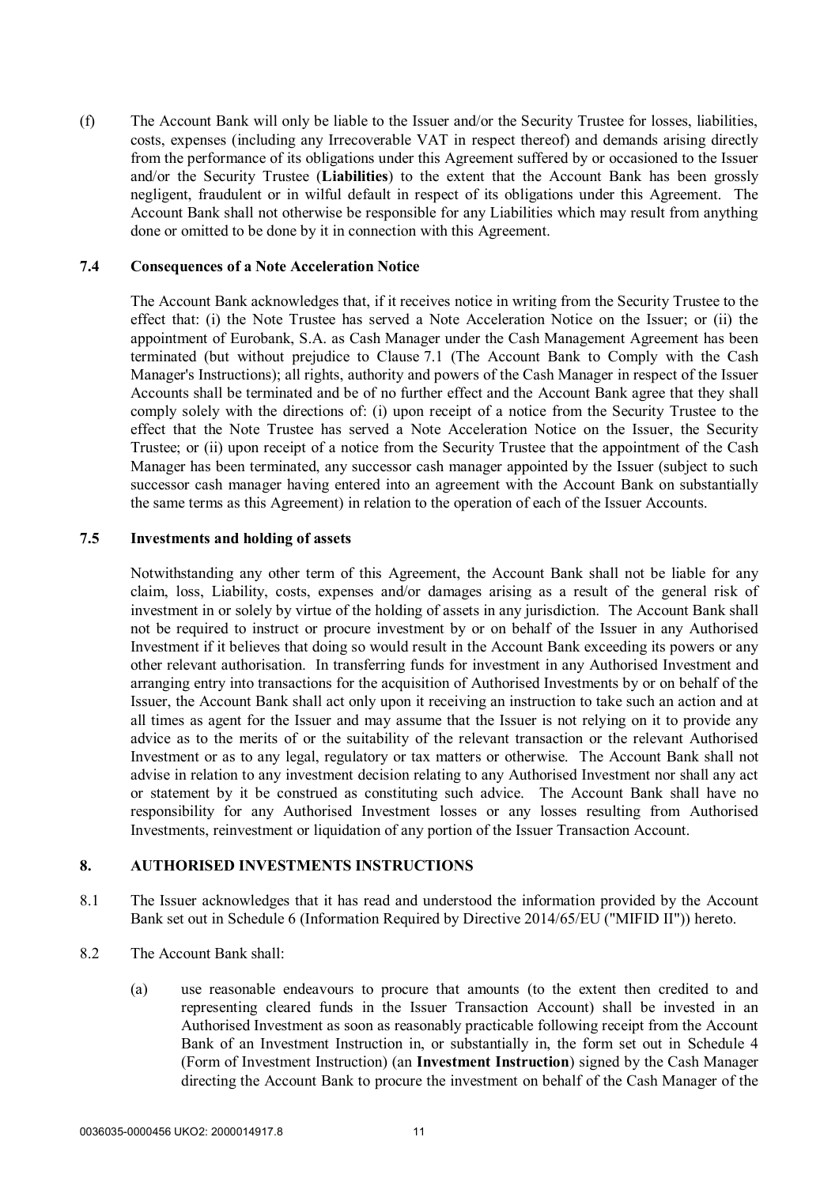(f) The Account Bank will only be liable to the Issuer and/or the Security Trustee for losses, liabilities, costs, expenses (including any Irrecoverable VAT in respect thereof) and demands arising directly from the performance of its obligations under this Agreement suffered by or occasioned to the Issuer and/or the Security Trustee (**Liabilities**) to the extent that the Account Bank has been grossly negligent, fraudulent or in wilful default in respect of its obligations under this Agreement. The Account Bank shall not otherwise be responsible for any Liabilities which may result from anything done or omitted to be done by it in connection with this Agreement.

#### **7.4 Consequences of a Note Acceleration Notice**

The Account Bank acknowledges that, if it receives notice in writing from the Security Trustee to the effect that: (i) the Note Trustee has served a Note Acceleration Notice on the Issuer; or (ii) the appointment of Eurobank, S.A. as Cash Manager under the Cash Management Agreement has been terminated (but without prejudice to Clause 7.1 (The Account Bank to Comply with the Cash Manager's Instructions); all rights, authority and powers of the Cash Manager in respect of the Issuer Accounts shall be terminated and be of no further effect and the Account Bank agree that they shall comply solely with the directions of: (i) upon receipt of a notice from the Security Trustee to the effect that the Note Trustee has served a Note Acceleration Notice on the Issuer, the Security Trustee; or (ii) upon receipt of a notice from the Security Trustee that the appointment of the Cash Manager has been terminated, any successor cash manager appointed by the Issuer (subject to such successor cash manager having entered into an agreement with the Account Bank on substantially the same terms as this Agreement) in relation to the operation of each of the Issuer Accounts.

#### **7.5 Investments and holding of assets**

Notwithstanding any other term of this Agreement, the Account Bank shall not be liable for any claim, loss, Liability, costs, expenses and/or damages arising as a result of the general risk of investment in or solely by virtue of the holding of assets in any jurisdiction. The Account Bank shall not be required to instruct or procure investment by or on behalf of the Issuer in any Authorised Investment if it believes that doing so would result in the Account Bank exceeding its powers or any other relevant authorisation. In transferring funds for investment in any Authorised Investment and arranging entry into transactions for the acquisition of Authorised Investments by or on behalf of the Issuer, the Account Bank shall act only upon it receiving an instruction to take such an action and at all times as agent for the Issuer and may assume that the Issuer is not relying on it to provide any advice as to the merits of or the suitability of the relevant transaction or the relevant Authorised Investment or as to any legal, regulatory or tax matters or otherwise. The Account Bank shall not advise in relation to any investment decision relating to any Authorised Investment nor shall any act or statement by it be construed as constituting such advice. The Account Bank shall have no responsibility for any Authorised Investment losses or any losses resulting from Authorised Investments, reinvestment or liquidation of any portion of the Issuer Transaction Account.

### **8. AUTHORISED INVESTMENTS INSTRUCTIONS**

- 8.1 The Issuer acknowledges that it has read and understood the information provided by the Account Bank set out in Schedule 6 (Information Required by Directive 2014/65/EU ("MIFID II")) hereto.
- 8.2 The Account Bank shall:
	- (a) use reasonable endeavours to procure that amounts (to the extent then credited to and representing cleared funds in the Issuer Transaction Account) shall be invested in an Authorised Investment as soon as reasonably practicable following receipt from the Account Bank of an Investment Instruction in, or substantially in, the form set out in Schedule 4 (Form of Investment Instruction) (an **Investment Instruction**) signed by the Cash Manager directing the Account Bank to procure the investment on behalf of the Cash Manager of the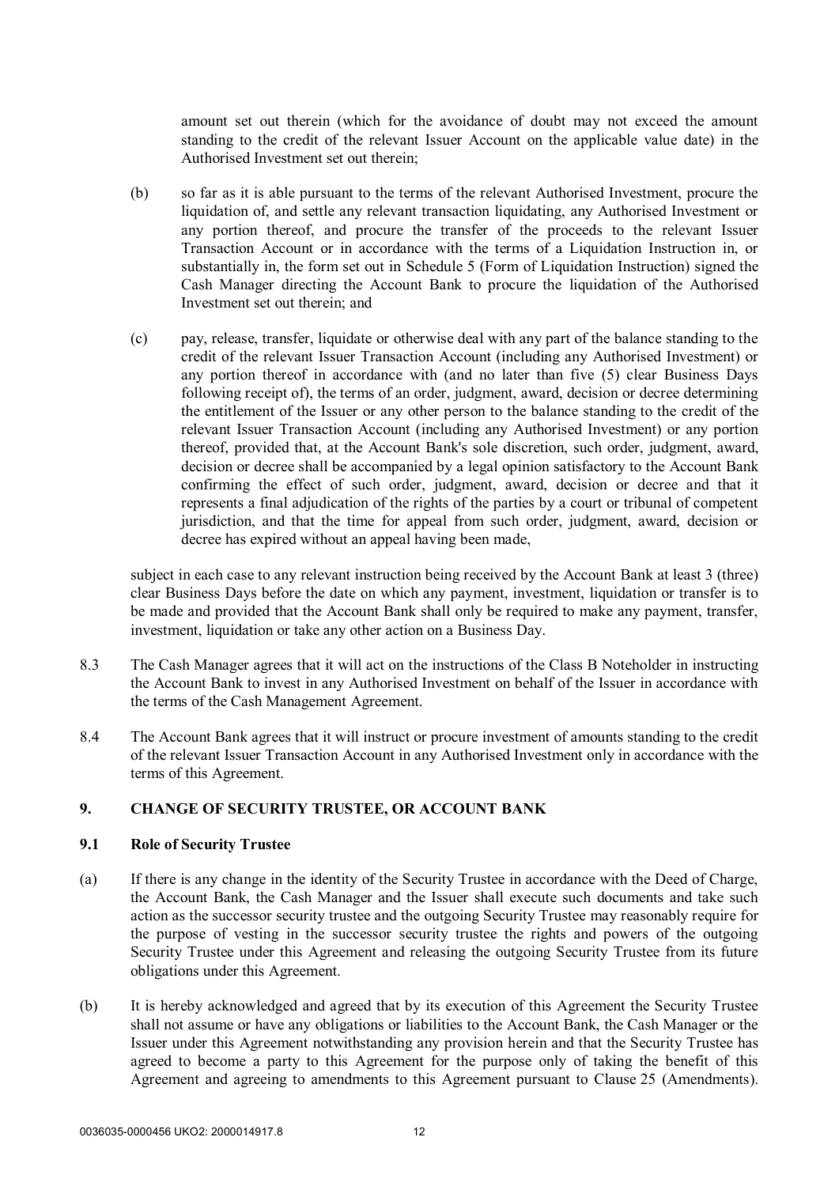amount set out therein (which for the avoidance of doubt may not exceed the amount standing to the credit of the relevant Issuer Account on the applicable value date) in the Authorised Investment set out therein;

- (b) so far as it is able pursuant to the terms of the relevant Authorised Investment, procure the liquidation of, and settle any relevant transaction liquidating, any Authorised Investment or any portion thereof, and procure the transfer of the proceeds to the relevant Issuer Transaction Account or in accordance with the terms of a Liquidation Instruction in, or substantially in, the form set out in Schedule 5 (Form of Liquidation Instruction) signed the Cash Manager directing the Account Bank to procure the liquidation of the Authorised Investment set out therein; and
- (c) pay, release, transfer, liquidate or otherwise deal with any part of the balance standing to the credit of the relevant Issuer Transaction Account (including any Authorised Investment) or any portion thereof in accordance with (and no later than five (5) clear Business Days following receipt of), the terms of an order, judgment, award, decision or decree determining the entitlement of the Issuer or any other person to the balance standing to the credit of the relevant Issuer Transaction Account (including any Authorised Investment) or any portion thereof, provided that, at the Account Bank's sole discretion, such order, judgment, award, decision or decree shall be accompanied by a legal opinion satisfactory to the Account Bank confirming the effect of such order, judgment, award, decision or decree and that it represents a final adjudication of the rights of the parties by a court or tribunal of competent jurisdiction, and that the time for appeal from such order, judgment, award, decision or decree has expired without an appeal having been made,

subject in each case to any relevant instruction being received by the Account Bank at least 3 (three) clear Business Days before the date on which any payment, investment, liquidation or transfer is to be made and provided that the Account Bank shall only be required to make any payment, transfer, investment, liquidation or take any other action on a Business Day.

- 8.3 The Cash Manager agrees that it will act on the instructions of the Class B Noteholder in instructing the Account Bank to invest in any Authorised Investment on behalf of the Issuer in accordance with the terms of the Cash Management Agreement.
- 8.4 The Account Bank agrees that it will instruct or procure investment of amounts standing to the credit of the relevant Issuer Transaction Account in any Authorised Investment only in accordance with the terms of this Agreement.

# **9. CHANGE OF SECURITY TRUSTEE, OR ACCOUNT BANK**

## **9.1 Role of Security Trustee**

- (a) If there is any change in the identity of the Security Trustee in accordance with the Deed of Charge, the Account Bank, the Cash Manager and the Issuer shall execute such documents and take such action as the successor security trustee and the outgoing Security Trustee may reasonably require for the purpose of vesting in the successor security trustee the rights and powers of the outgoing Security Trustee under this Agreement and releasing the outgoing Security Trustee from its future obligations under this Agreement.
- (b) It is hereby acknowledged and agreed that by its execution of this Agreement the Security Trustee shall not assume or have any obligations or liabilities to the Account Bank, the Cash Manager or the Issuer under this Agreement notwithstanding any provision herein and that the Security Trustee has agreed to become a party to this Agreement for the purpose only of taking the benefit of this Agreement and agreeing to amendments to this Agreement pursuant to Clause 25 (Amendments).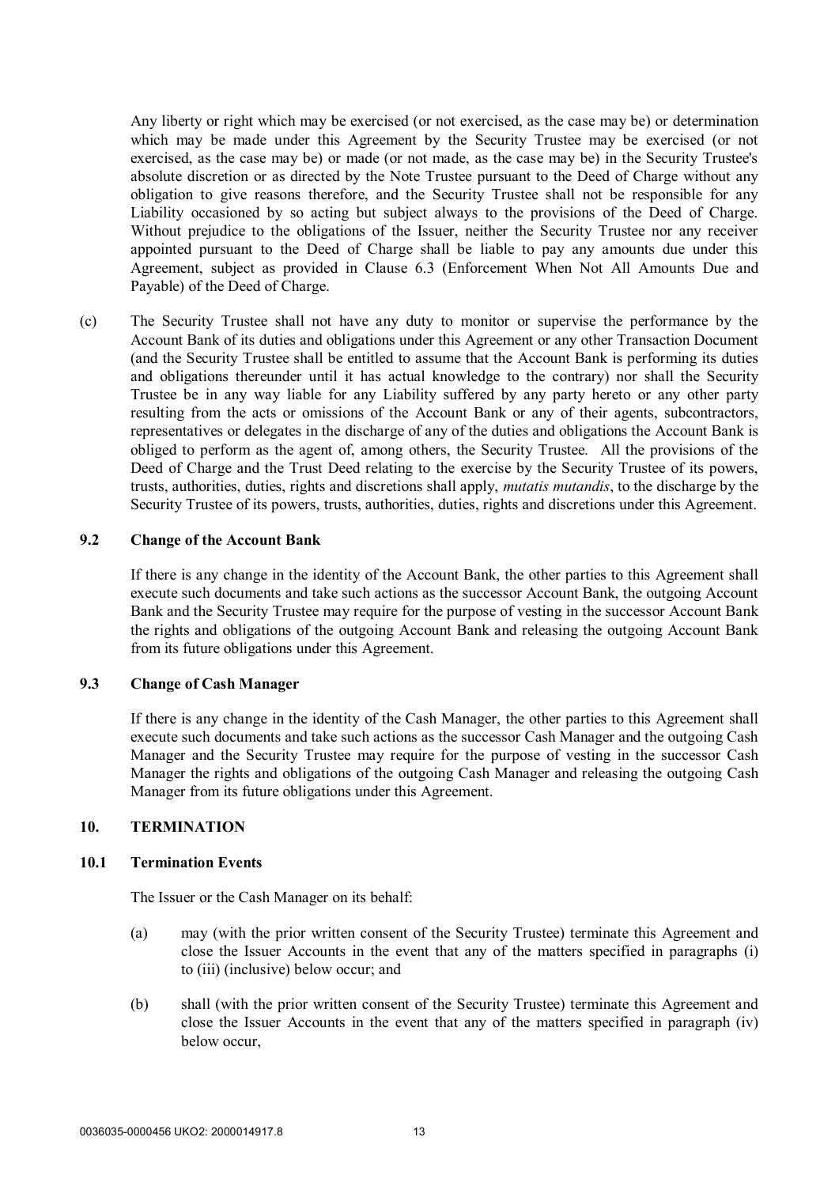Any liberty or right which may be exercised (or not exercised, as the case may be) or determination which may be made under this Agreement by the Security Trustee may be exercised (or not exercised, as the case may be) or made (or not made, as the case may be) in the Security Trustee's absolute discretion or as directed by the Note Trustee pursuant to the Deed of Charge without any obligation to give reasons therefore, and the Security Trustee shall not be responsible for any Liability occasioned by so acting but subject always to the provisions of the Deed of Charge. Without prejudice to the obligations of the Issuer, neither the Security Trustee nor any receiver appointed pursuant to the Deed of Charge shall be liable to pay any amounts due under this Agreement, subject as provided in Clause 6.3 (Enforcement When Not All Amounts Due and Payable) of the Deed of Charge.

(c) The Security Trustee shall not have any duty to monitor or supervise the performance by the Account Bank of its duties and obligations under this Agreement or any other Transaction Document (and the Security Trustee shall be entitled to assume that the Account Bank is performing its duties and obligations thereunder until it has actual knowledge to the contrary) nor shall the Security Trustee be in any way liable for any Liability suffered by any party hereto or any other party resulting from the acts or omissions of the Account Bank or any of their agents, subcontractors, representatives or delegates in the discharge of any of the duties and obligations the Account Bank is obliged to perform as the agent of, among others, the Security Trustee. All the provisions of the Deed of Charge and the Trust Deed relating to the exercise by the Security Trustee of its powers, trusts, authorities, duties, rights and discretions shall apply, *mutatis mutandis*, to the discharge by the Security Trustee of its powers, trusts, authorities, duties, rights and discretions under this Agreement.

#### **9.2 Change of the Account Bank**

If there is any change in the identity of the Account Bank, the other parties to this Agreement shall execute such documents and take such actions as the successor Account Bank, the outgoing Account Bank and the Security Trustee may require for the purpose of vesting in the successor Account Bank the rights and obligations of the outgoing Account Bank and releasing the outgoing Account Bank from its future obligations under this Agreement.

#### **9.3 Change of Cash Manager**

If there is any change in the identity of the Cash Manager, the other parties to this Agreement shall execute such documents and take such actions as the successor Cash Manager and the outgoing Cash Manager and the Security Trustee may require for the purpose of vesting in the successor Cash Manager the rights and obligations of the outgoing Cash Manager and releasing the outgoing Cash Manager from its future obligations under this Agreement.

## **10. TERMINATION**

#### **10.1 Termination Events**

The Issuer or the Cash Manager on its behalf:

- (a) may (with the prior written consent of the Security Trustee) terminate this Agreement and close the Issuer Accounts in the event that any of the matters specified in paragraphs (i) to (iii) (inclusive) below occur; and
- (b) shall (with the prior written consent of the Security Trustee) terminate this Agreement and close the Issuer Accounts in the event that any of the matters specified in paragraph (iv) below occur,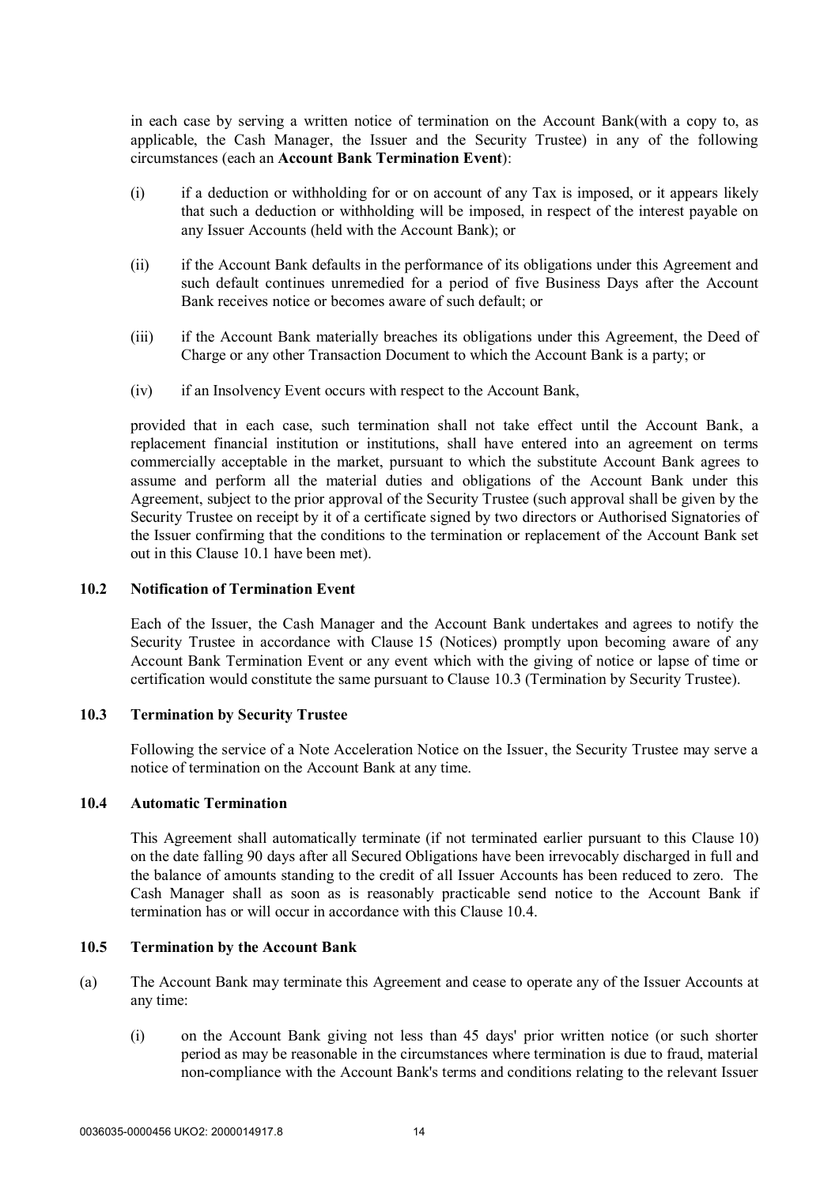in each case by serving a written notice of termination on the Account Bank(with a copy to, as applicable, the Cash Manager, the Issuer and the Security Trustee) in any of the following circumstances (each an **Account Bank Termination Event**):

- (i) if a deduction or withholding for or on account of any Tax is imposed, or it appears likely that such a deduction or withholding will be imposed, in respect of the interest payable on any Issuer Accounts (held with the Account Bank); or
- (ii) if the Account Bank defaults in the performance of its obligations under this Agreement and such default continues unremedied for a period of five Business Days after the Account Bank receives notice or becomes aware of such default; or
- (iii) if the Account Bank materially breaches its obligations under this Agreement, the Deed of Charge or any other Transaction Document to which the Account Bank is a party; or
- (iv) if an Insolvency Event occurs with respect to the Account Bank,

provided that in each case, such termination shall not take effect until the Account Bank, a replacement financial institution or institutions, shall have entered into an agreement on terms commercially acceptable in the market, pursuant to which the substitute Account Bank agrees to assume and perform all the material duties and obligations of the Account Bank under this Agreement, subject to the prior approval of the Security Trustee (such approval shall be given by the Security Trustee on receipt by it of a certificate signed by two directors or Authorised Signatories of the Issuer confirming that the conditions to the termination or replacement of the Account Bank set out in this Clause 10.1 have been met).

## **10.2 Notification of Termination Event**

Each of the Issuer, the Cash Manager and the Account Bank undertakes and agrees to notify the Security Trustee in accordance with Clause 15 (Notices) promptly upon becoming aware of any Account Bank Termination Event or any event which with the giving of notice or lapse of time or certification would constitute the same pursuant to Clause 10.3 (Termination by Security Trustee).

### **10.3 Termination by Security Trustee**

Following the service of a Note Acceleration Notice on the Issuer, the Security Trustee may serve a notice of termination on the Account Bank at any time.

### **10.4 Automatic Termination**

This Agreement shall automatically terminate (if not terminated earlier pursuant to this Clause 10) on the date falling 90 days after all Secured Obligations have been irrevocably discharged in full and the balance of amounts standing to the credit of all Issuer Accounts has been reduced to zero. The Cash Manager shall as soon as is reasonably practicable send notice to the Account Bank if termination has or will occur in accordance with this Clause 10.4.

# **10.5 Termination by the Account Bank**

- (a) The Account Bank may terminate this Agreement and cease to operate any of the Issuer Accounts at any time:
	- (i) on the Account Bank giving not less than 45 days' prior written notice (or such shorter period as may be reasonable in the circumstances where termination is due to fraud, material non-compliance with the Account Bank's terms and conditions relating to the relevant Issuer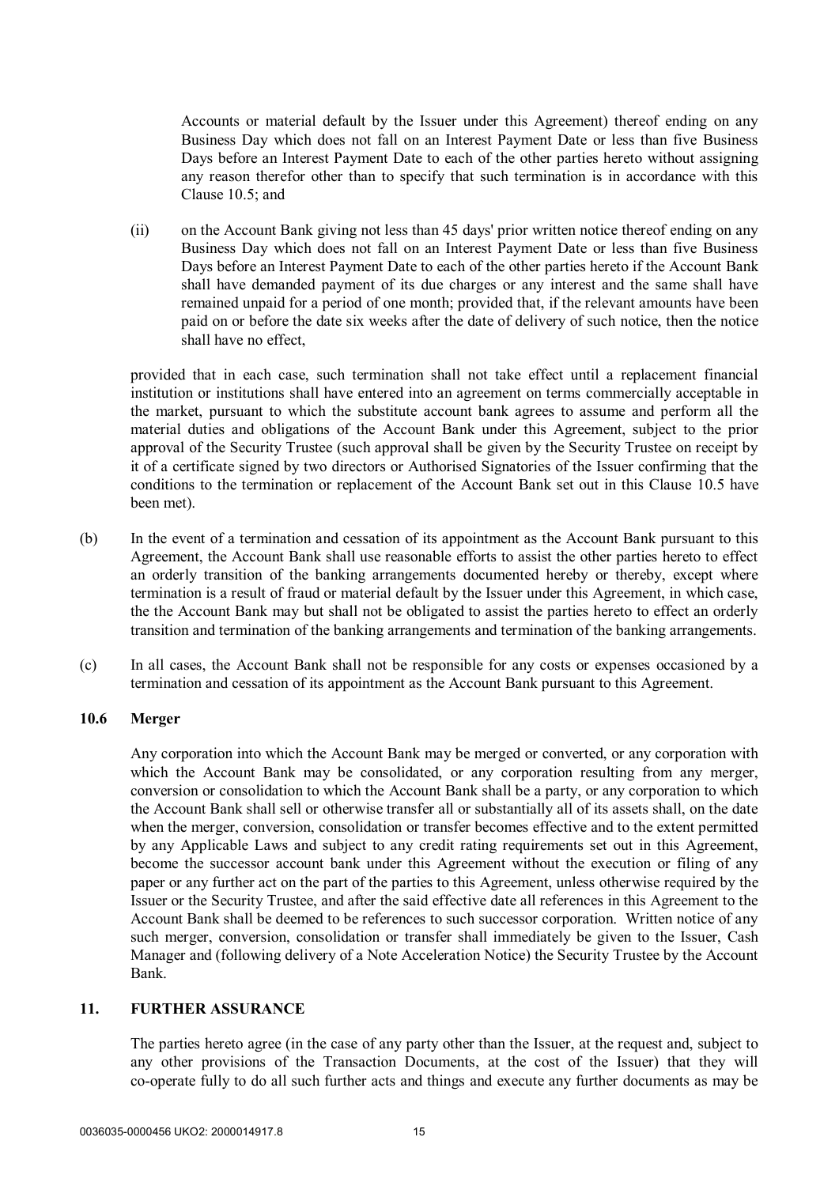Accounts or material default by the Issuer under this Agreement) thereof ending on any Business Day which does not fall on an Interest Payment Date or less than five Business Days before an Interest Payment Date to each of the other parties hereto without assigning any reason therefor other than to specify that such termination is in accordance with this Clause 10.5; and

(ii) on the Account Bank giving not less than 45 days' prior written notice thereof ending on any Business Day which does not fall on an Interest Payment Date or less than five Business Days before an Interest Payment Date to each of the other parties hereto if the Account Bank shall have demanded payment of its due charges or any interest and the same shall have remained unpaid for a period of one month; provided that, if the relevant amounts have been paid on or before the date six weeks after the date of delivery of such notice, then the notice shall have no effect,

provided that in each case, such termination shall not take effect until a replacement financial institution or institutions shall have entered into an agreement on terms commercially acceptable in the market, pursuant to which the substitute account bank agrees to assume and perform all the material duties and obligations of the Account Bank under this Agreement, subject to the prior approval of the Security Trustee (such approval shall be given by the Security Trustee on receipt by it of a certificate signed by two directors or Authorised Signatories of the Issuer confirming that the conditions to the termination or replacement of the Account Bank set out in this Clause 10.5 have been met).

- (b) In the event of a termination and cessation of its appointment as the Account Bank pursuant to this Agreement, the Account Bank shall use reasonable efforts to assist the other parties hereto to effect an orderly transition of the banking arrangements documented hereby or thereby, except where termination is a result of fraud or material default by the Issuer under this Agreement, in which case, the the Account Bank may but shall not be obligated to assist the parties hereto to effect an orderly transition and termination of the banking arrangements and termination of the banking arrangements.
- (c) In all cases, the Account Bank shall not be responsible for any costs or expenses occasioned by a termination and cessation of its appointment as the Account Bank pursuant to this Agreement.

#### **10.6 Merger**

Any corporation into which the Account Bank may be merged or converted, or any corporation with which the Account Bank may be consolidated, or any corporation resulting from any merger, conversion or consolidation to which the Account Bank shall be a party, or any corporation to which the Account Bank shall sell or otherwise transfer all or substantially all of its assets shall, on the date when the merger, conversion, consolidation or transfer becomes effective and to the extent permitted by any Applicable Laws and subject to any credit rating requirements set out in this Agreement, become the successor account bank under this Agreement without the execution or filing of any paper or any further act on the part of the parties to this Agreement, unless otherwise required by the Issuer or the Security Trustee, and after the said effective date all references in this Agreement to the Account Bank shall be deemed to be references to such successor corporation. Written notice of any such merger, conversion, consolidation or transfer shall immediately be given to the Issuer, Cash Manager and (following delivery of a Note Acceleration Notice) the Security Trustee by the Account Bank.

# **11. FURTHER ASSURANCE**

The parties hereto agree (in the case of any party other than the Issuer, at the request and, subject to any other provisions of the Transaction Documents, at the cost of the Issuer) that they will co-operate fully to do all such further acts and things and execute any further documents as may be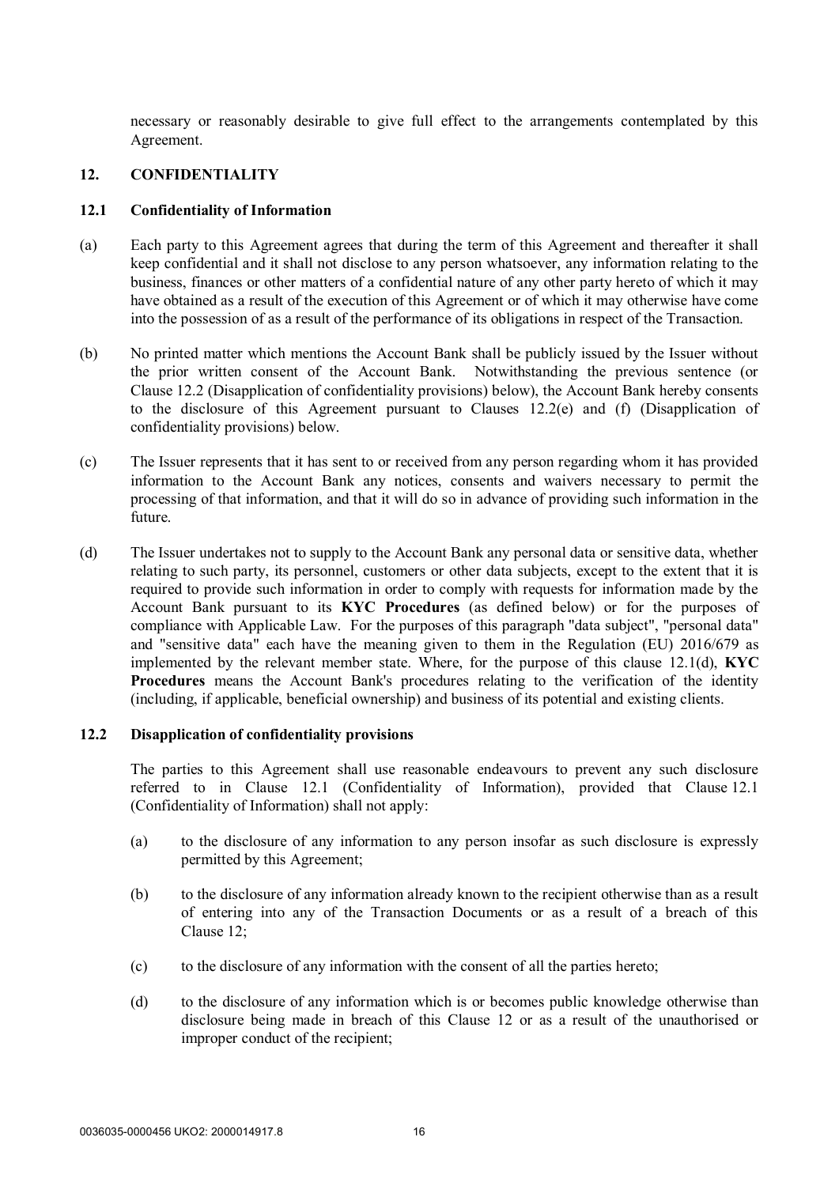necessary or reasonably desirable to give full effect to the arrangements contemplated by this Agreement.

#### **12. CONFIDENTIALITY**

#### **12.1 Confidentiality of Information**

- (a) Each party to this Agreement agrees that during the term of this Agreement and thereafter it shall keep confidential and it shall not disclose to any person whatsoever, any information relating to the business, finances or other matters of a confidential nature of any other party hereto of which it may have obtained as a result of the execution of this Agreement or of which it may otherwise have come into the possession of as a result of the performance of its obligations in respect of the Transaction.
- (b) No printed matter which mentions the Account Bank shall be publicly issued by the Issuer without the prior written consent of the Account Bank. Notwithstanding the previous sentence (or Clause 12.2 (Disapplication of confidentiality provisions) below), the Account Bank hereby consents to the disclosure of this Agreement pursuant to Clauses 12.2(e) and (f) (Disapplication of confidentiality provisions) below.
- (c) The Issuer represents that it has sent to or received from any person regarding whom it has provided information to the Account Bank any notices, consents and waivers necessary to permit the processing of that information, and that it will do so in advance of providing such information in the future.
- (d) The Issuer undertakes not to supply to the Account Bank any personal data or sensitive data, whether relating to such party, its personnel, customers or other data subjects, except to the extent that it is required to provide such information in order to comply with requests for information made by the Account Bank pursuant to its **KYC Procedures** (as defined below) or for the purposes of compliance with Applicable Law. For the purposes of this paragraph "data subject", "personal data" and "sensitive data" each have the meaning given to them in the Regulation (EU) 2016/679 as implemented by the relevant member state. Where, for the purpose of this clause 12.1(d), **KYC Procedures** means the Account Bank's procedures relating to the verification of the identity (including, if applicable, beneficial ownership) and business of its potential and existing clients.

#### **12.2 Disapplication of confidentiality provisions**

The parties to this Agreement shall use reasonable endeavours to prevent any such disclosure referred to in Clause 12.1 (Confidentiality of Information), provided that Clause 12.1 (Confidentiality of Information) shall not apply:

- (a) to the disclosure of any information to any person insofar as such disclosure is expressly permitted by this Agreement;
- (b) to the disclosure of any information already known to the recipient otherwise than as a result of entering into any of the Transaction Documents or as a result of a breach of this Clause 12;
- (c) to the disclosure of any information with the consent of all the parties hereto;
- (d) to the disclosure of any information which is or becomes public knowledge otherwise than disclosure being made in breach of this Clause 12 or as a result of the unauthorised or improper conduct of the recipient;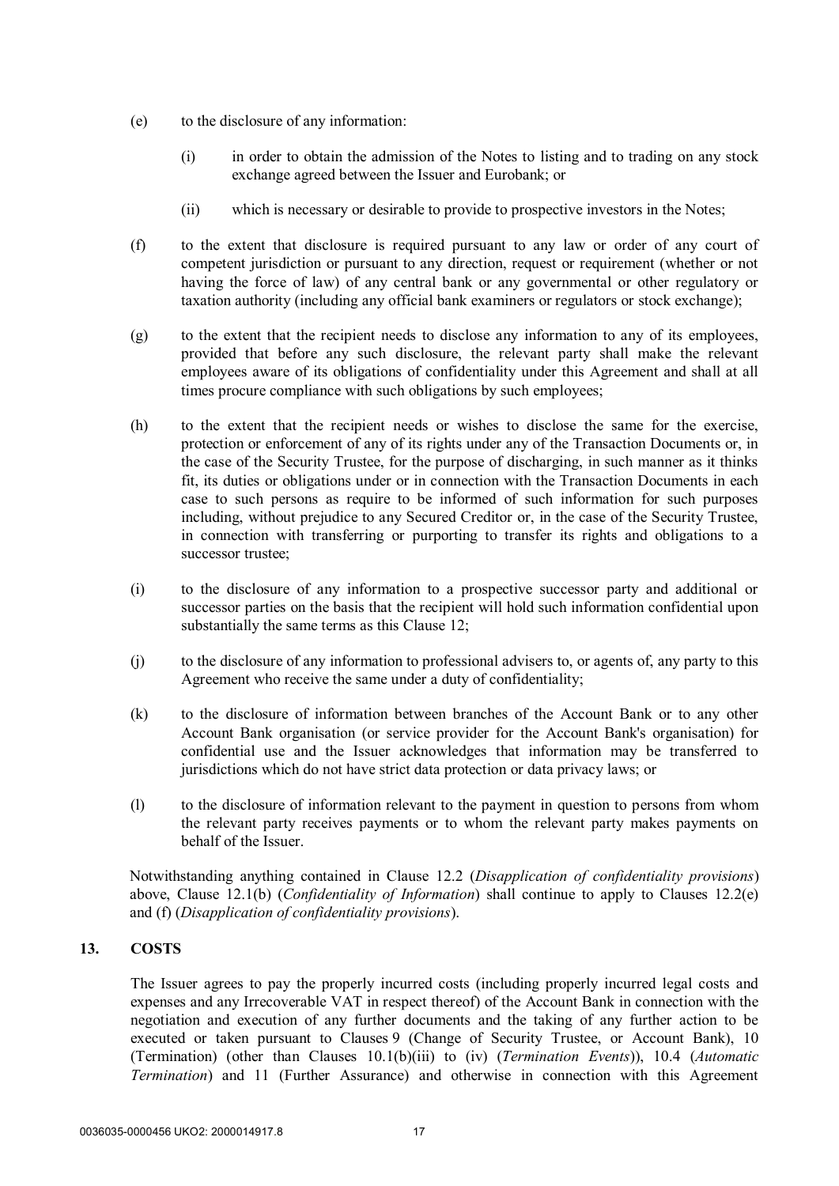- (e) to the disclosure of any information:
	- (i) in order to obtain the admission of the Notes to listing and to trading on any stock exchange agreed between the Issuer and Eurobank; or
	- (ii) which is necessary or desirable to provide to prospective investors in the Notes;
- (f) to the extent that disclosure is required pursuant to any law or order of any court of competent jurisdiction or pursuant to any direction, request or requirement (whether or not having the force of law) of any central bank or any governmental or other regulatory or taxation authority (including any official bank examiners or regulators or stock exchange);
- (g) to the extent that the recipient needs to disclose any information to any of its employees, provided that before any such disclosure, the relevant party shall make the relevant employees aware of its obligations of confidentiality under this Agreement and shall at all times procure compliance with such obligations by such employees;
- (h) to the extent that the recipient needs or wishes to disclose the same for the exercise, protection or enforcement of any of its rights under any of the Transaction Documents or, in the case of the Security Trustee, for the purpose of discharging, in such manner as it thinks fit, its duties or obligations under or in connection with the Transaction Documents in each case to such persons as require to be informed of such information for such purposes including, without prejudice to any Secured Creditor or, in the case of the Security Trustee, in connection with transferring or purporting to transfer its rights and obligations to a successor trustee;
- (i) to the disclosure of any information to a prospective successor party and additional or successor parties on the basis that the recipient will hold such information confidential upon substantially the same terms as this Clause 12;
- (j) to the disclosure of any information to professional advisers to, or agents of, any party to this Agreement who receive the same under a duty of confidentiality;
- (k) to the disclosure of information between branches of the Account Bank or to any other Account Bank organisation (or service provider for the Account Bank's organisation) for confidential use and the Issuer acknowledges that information may be transferred to jurisdictions which do not have strict data protection or data privacy laws; or
- (l) to the disclosure of information relevant to the payment in question to persons from whom the relevant party receives payments or to whom the relevant party makes payments on behalf of the Issuer.

Notwithstanding anything contained in Clause 12.2 (*Disapplication of confidentiality provisions*) above, Clause 12.1(b) (*Confidentiality of Information*) shall continue to apply to Clauses 12.2(e) and (f) (*Disapplication of confidentiality provisions*).

# **13. COSTS**

The Issuer agrees to pay the properly incurred costs (including properly incurred legal costs and expenses and any Irrecoverable VAT in respect thereof) of the Account Bank in connection with the negotiation and execution of any further documents and the taking of any further action to be executed or taken pursuant to Clauses 9 (Change of Security Trustee, or Account Bank), 10 (Termination) (other than Clauses 10.1(b)(iii) to (iv) (*Termination Events*)), 10.4 (*Automatic Termination*) and 11 (Further Assurance) and otherwise in connection with this Agreement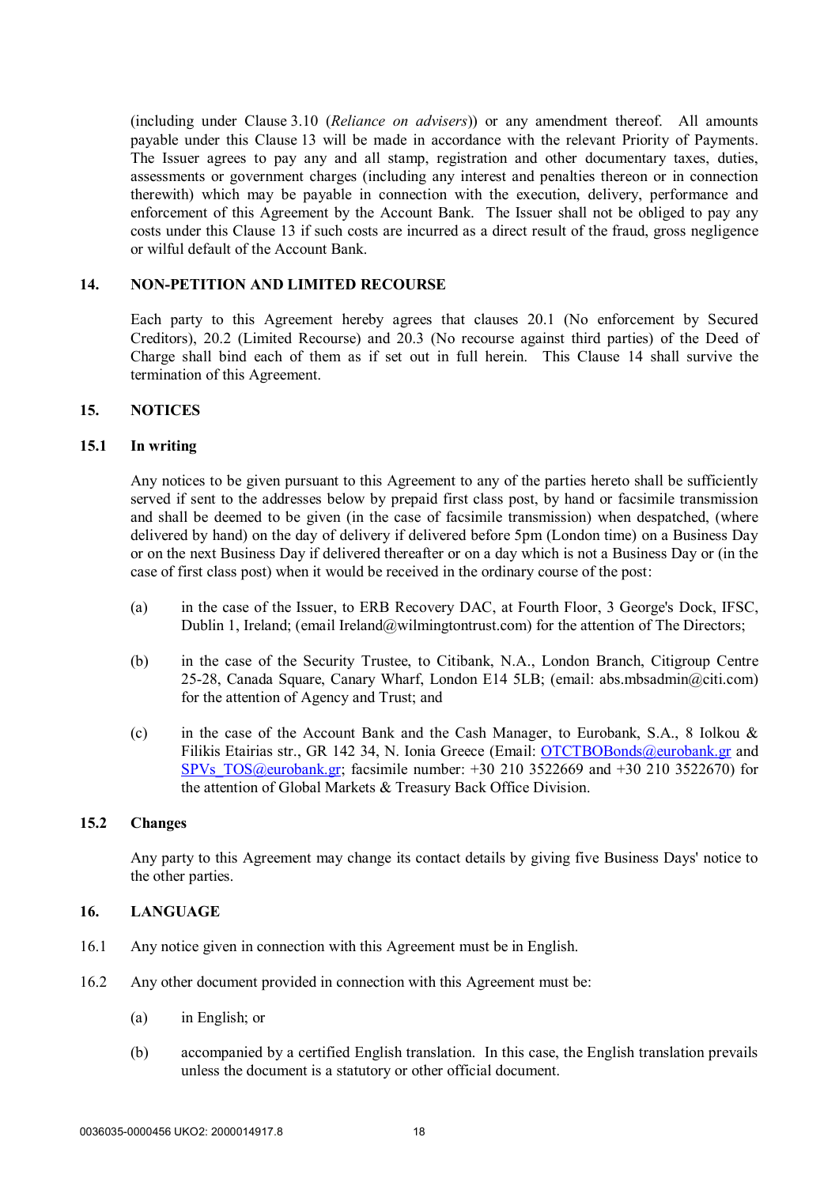(including under Clause 3.10 (*Reliance on advisers*)) or any amendment thereof. All amounts payable under this Clause 13 will be made in accordance with the relevant Priority of Payments. The Issuer agrees to pay any and all stamp, registration and other documentary taxes, duties, assessments or government charges (including any interest and penalties thereon or in connection therewith) which may be payable in connection with the execution, delivery, performance and enforcement of this Agreement by the Account Bank. The Issuer shall not be obliged to pay any costs under this Clause 13 if such costs are incurred as a direct result of the fraud, gross negligence or wilful default of the Account Bank.

## **14. NON-PETITION AND LIMITED RECOURSE**

Each party to this Agreement hereby agrees that clauses 20.1 (No enforcement by Secured Creditors), 20.2 (Limited Recourse) and 20.3 (No recourse against third parties) of the Deed of Charge shall bind each of them as if set out in full herein. This Clause 14 shall survive the termination of this Agreement.

### **15. NOTICES**

### **15.1 In writing**

Any notices to be given pursuant to this Agreement to any of the parties hereto shall be sufficiently served if sent to the addresses below by prepaid first class post, by hand or facsimile transmission and shall be deemed to be given (in the case of facsimile transmission) when despatched, (where delivered by hand) on the day of delivery if delivered before 5pm (London time) on a Business Day or on the next Business Day if delivered thereafter or on a day which is not a Business Day or (in the case of first class post) when it would be received in the ordinary course of the post:

- (a) in the case of the Issuer, to ERB Recovery DAC, at Fourth Floor, 3 George's Dock, IFSC, Dublin 1, Ireland; (email Ireland@wilmingtontrust.com) for the attention of The Directors;
- (b) in the case of the Security Trustee, to Citibank, N.A., London Branch, Citigroup Centre 25-28, Canada Square, Canary Wharf, London E14 5LB; (email: abs.mbsadmin@citi.com) for the attention of Agency and Trust; and
- (c) in the case of the Account Bank and the Cash Manager, to Eurobank, S.A., 8 Iolkou & Filikis Etairias str., GR 142 34, N. Ionia Greece (Email: OTCTBOBonds@eurobank.gr and SPVs TOS@eurobank.gr; facsimile number:  $+30$  210 3522669 and  $+30$  210 3522670) for the attention of Global Markets & Treasury Back Office Division.

### **15.2 Changes**

Any party to this Agreement may change its contact details by giving five Business Days' notice to the other parties.

### **16. LANGUAGE**

- 16.1 Any notice given in connection with this Agreement must be in English.
- 16.2 Any other document provided in connection with this Agreement must be:
	- (a) in English; or
	- (b) accompanied by a certified English translation. In this case, the English translation prevails unless the document is a statutory or other official document.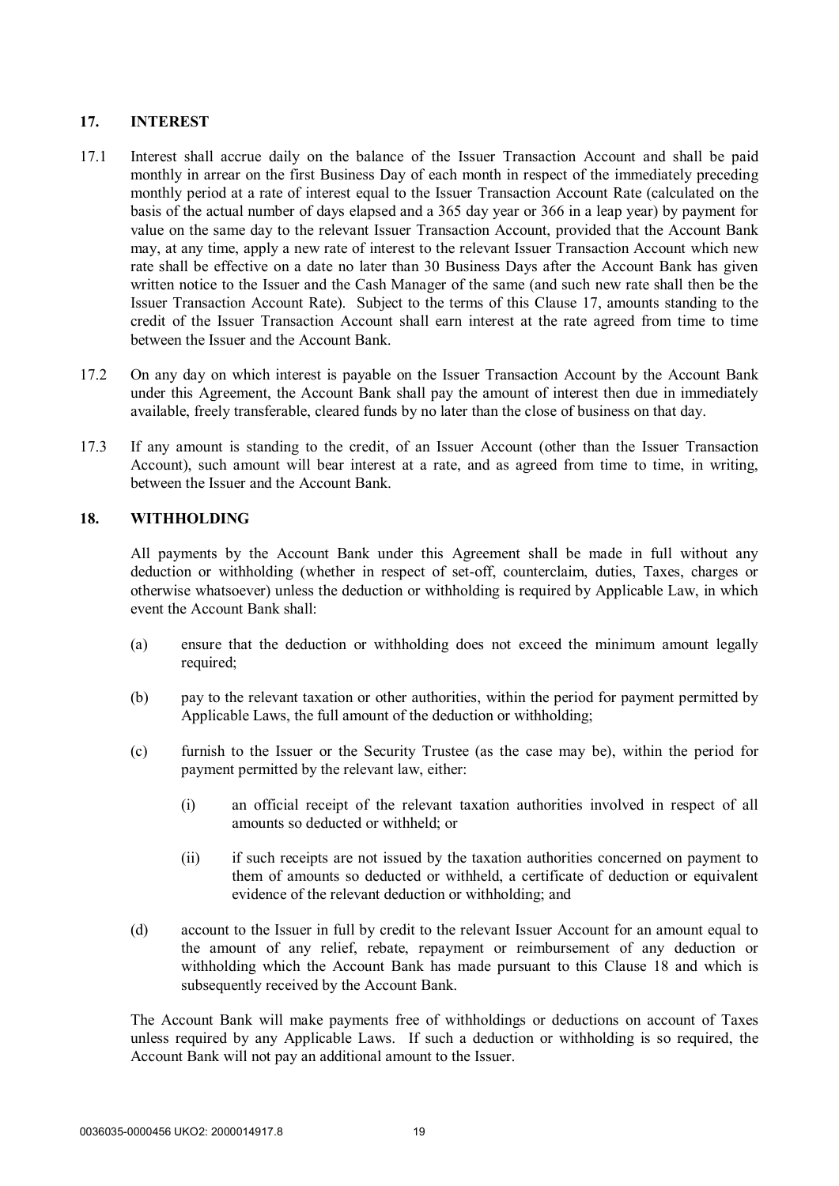# **17. INTEREST**

- 17.1 Interest shall accrue daily on the balance of the Issuer Transaction Account and shall be paid monthly in arrear on the first Business Day of each month in respect of the immediately preceding monthly period at a rate of interest equal to the Issuer Transaction Account Rate (calculated on the basis of the actual number of days elapsed and a 365 day year or 366 in a leap year) by payment for value on the same day to the relevant Issuer Transaction Account, provided that the Account Bank may, at any time, apply a new rate of interest to the relevant Issuer Transaction Account which new rate shall be effective on a date no later than 30 Business Days after the Account Bank has given written notice to the Issuer and the Cash Manager of the same (and such new rate shall then be the Issuer Transaction Account Rate). Subject to the terms of this Clause 17, amounts standing to the credit of the Issuer Transaction Account shall earn interest at the rate agreed from time to time between the Issuer and the Account Bank.
- 17.2 On any day on which interest is payable on the Issuer Transaction Account by the Account Bank under this Agreement, the Account Bank shall pay the amount of interest then due in immediately available, freely transferable, cleared funds by no later than the close of business on that day.
- 17.3 If any amount is standing to the credit, of an Issuer Account (other than the Issuer Transaction Account), such amount will bear interest at a rate, and as agreed from time to time, in writing, between the Issuer and the Account Bank.

### **18. WITHHOLDING**

All payments by the Account Bank under this Agreement shall be made in full without any deduction or withholding (whether in respect of set-off, counterclaim, duties, Taxes, charges or otherwise whatsoever) unless the deduction or withholding is required by Applicable Law, in which event the Account Bank shall:

- (a) ensure that the deduction or withholding does not exceed the minimum amount legally required;
- (b) pay to the relevant taxation or other authorities, within the period for payment permitted by Applicable Laws, the full amount of the deduction or withholding;
- (c) furnish to the Issuer or the Security Trustee (as the case may be), within the period for payment permitted by the relevant law, either:
	- (i) an official receipt of the relevant taxation authorities involved in respect of all amounts so deducted or withheld; or
	- (ii) if such receipts are not issued by the taxation authorities concerned on payment to them of amounts so deducted or withheld, a certificate of deduction or equivalent evidence of the relevant deduction or withholding; and
- (d) account to the Issuer in full by credit to the relevant Issuer Account for an amount equal to the amount of any relief, rebate, repayment or reimbursement of any deduction or withholding which the Account Bank has made pursuant to this Clause 18 and which is subsequently received by the Account Bank.

The Account Bank will make payments free of withholdings or deductions on account of Taxes unless required by any Applicable Laws. If such a deduction or withholding is so required, the Account Bank will not pay an additional amount to the Issuer.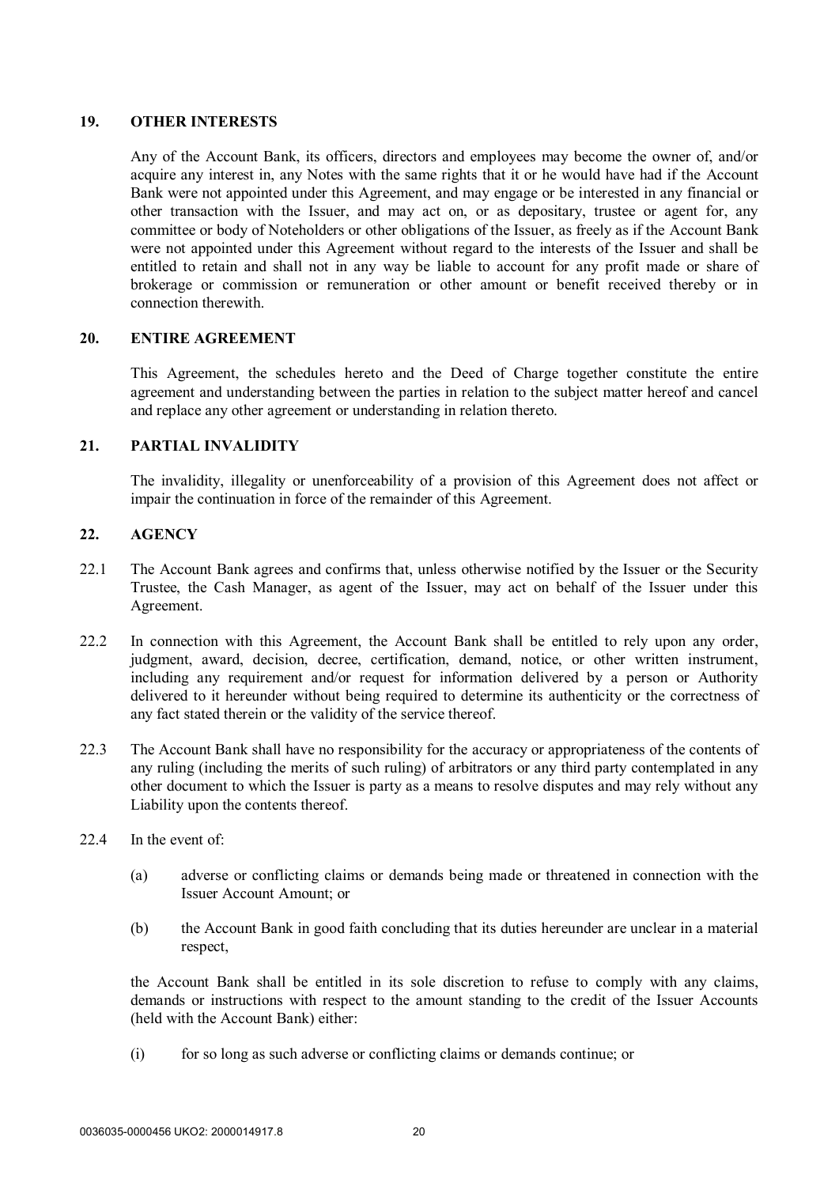#### **19. OTHER INTERESTS**

Any of the Account Bank, its officers, directors and employees may become the owner of, and/or acquire any interest in, any Notes with the same rights that it or he would have had if the Account Bank were not appointed under this Agreement, and may engage or be interested in any financial or other transaction with the Issuer, and may act on, or as depositary, trustee or agent for, any committee or body of Noteholders or other obligations of the Issuer, as freely as if the Account Bank were not appointed under this Agreement without regard to the interests of the Issuer and shall be entitled to retain and shall not in any way be liable to account for any profit made or share of brokerage or commission or remuneration or other amount or benefit received thereby or in connection therewith.

### **20. ENTIRE AGREEMENT**

This Agreement, the schedules hereto and the Deed of Charge together constitute the entire agreement and understanding between the parties in relation to the subject matter hereof and cancel and replace any other agreement or understanding in relation thereto.

### **21. PARTIAL INVALIDITY**

The invalidity, illegality or unenforceability of a provision of this Agreement does not affect or impair the continuation in force of the remainder of this Agreement.

# **22. AGENCY**

- 22.1 The Account Bank agrees and confirms that, unless otherwise notified by the Issuer or the Security Trustee, the Cash Manager, as agent of the Issuer, may act on behalf of the Issuer under this Agreement.
- 22.2 In connection with this Agreement, the Account Bank shall be entitled to rely upon any order, judgment, award, decision, decree, certification, demand, notice, or other written instrument, including any requirement and/or request for information delivered by a person or Authority delivered to it hereunder without being required to determine its authenticity or the correctness of any fact stated therein or the validity of the service thereof.
- 22.3 The Account Bank shall have no responsibility for the accuracy or appropriateness of the contents of any ruling (including the merits of such ruling) of arbitrators or any third party contemplated in any other document to which the Issuer is party as a means to resolve disputes and may rely without any Liability upon the contents thereof.
- 22.4 In the event of:
	- (a) adverse or conflicting claims or demands being made or threatened in connection with the Issuer Account Amount; or
	- (b) the Account Bank in good faith concluding that its duties hereunder are unclear in a material respect,

the Account Bank shall be entitled in its sole discretion to refuse to comply with any claims, demands or instructions with respect to the amount standing to the credit of the Issuer Accounts (held with the Account Bank) either:

(i) for so long as such adverse or conflicting claims or demands continue; or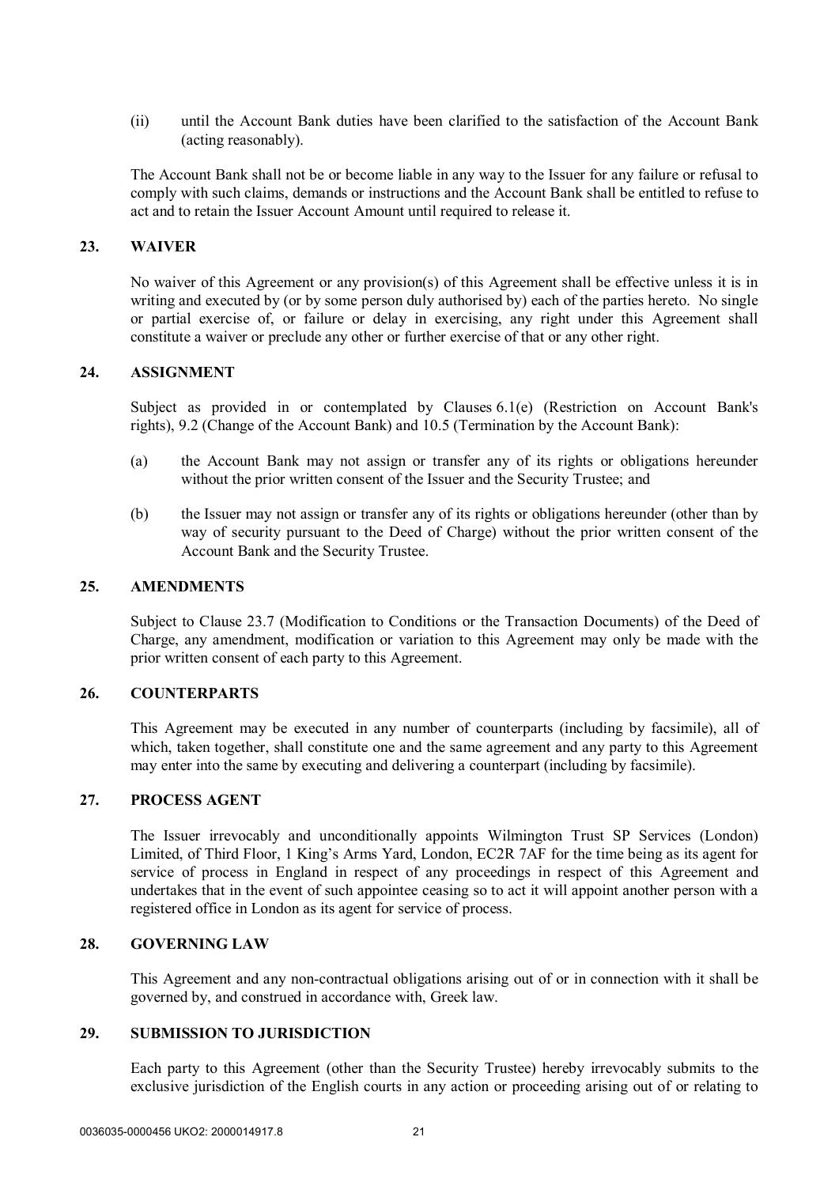(ii) until the Account Bank duties have been clarified to the satisfaction of the Account Bank (acting reasonably).

The Account Bank shall not be or become liable in any way to the Issuer for any failure or refusal to comply with such claims, demands or instructions and the Account Bank shall be entitled to refuse to act and to retain the Issuer Account Amount until required to release it.

#### **23. WAIVER**

No waiver of this Agreement or any provision(s) of this Agreement shall be effective unless it is in writing and executed by (or by some person duly authorised by) each of the parties hereto. No single or partial exercise of, or failure or delay in exercising, any right under this Agreement shall constitute a waiver or preclude any other or further exercise of that or any other right.

#### **24. ASSIGNMENT**

Subject as provided in or contemplated by Clauses 6.1(e) (Restriction on Account Bank's rights), 9.2 (Change of the Account Bank) and 10.5 (Termination by the Account Bank):

- (a) the Account Bank may not assign or transfer any of its rights or obligations hereunder without the prior written consent of the Issuer and the Security Trustee; and
- (b) the Issuer may not assign or transfer any of its rights or obligations hereunder (other than by way of security pursuant to the Deed of Charge) without the prior written consent of the Account Bank and the Security Trustee.

## **25. AMENDMENTS**

Subject to Clause 23.7 (Modification to Conditions or the Transaction Documents) of the Deed of Charge, any amendment, modification or variation to this Agreement may only be made with the prior written consent of each party to this Agreement.

#### **26. COUNTERPARTS**

This Agreement may be executed in any number of counterparts (including by facsimile), all of which, taken together, shall constitute one and the same agreement and any party to this Agreement may enter into the same by executing and delivering a counterpart (including by facsimile).

### **27. PROCESS AGENT**

The Issuer irrevocably and unconditionally appoints Wilmington Trust SP Services (London) Limited, of Third Floor, 1 King's Arms Yard, London, EC2R 7AF for the time being as its agent for service of process in England in respect of any proceedings in respect of this Agreement and undertakes that in the event of such appointee ceasing so to act it will appoint another person with a registered office in London as its agent for service of process.

### **28. GOVERNING LAW**

This Agreement and any non-contractual obligations arising out of or in connection with it shall be governed by, and construed in accordance with, Greek law.

### **29. SUBMISSION TO JURISDICTION**

Each party to this Agreement (other than the Security Trustee) hereby irrevocably submits to the exclusive jurisdiction of the English courts in any action or proceeding arising out of or relating to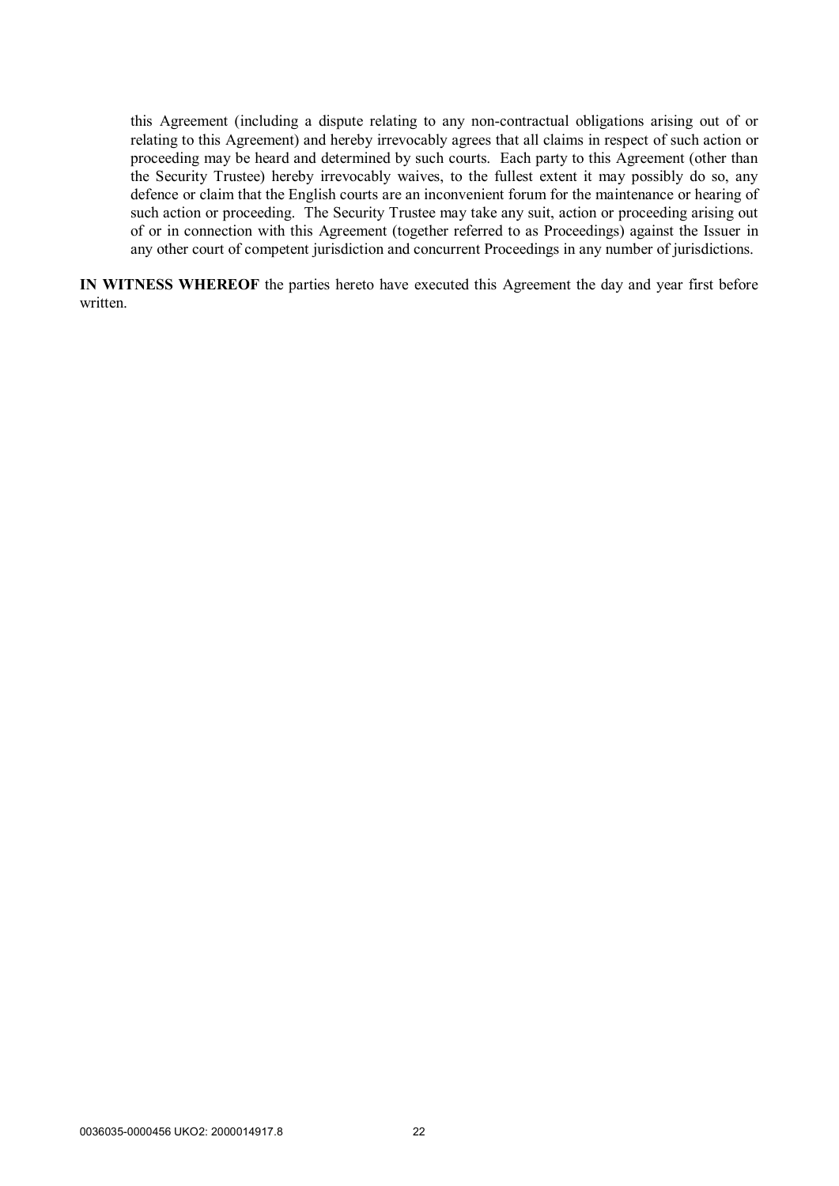this Agreement (including a dispute relating to any non-contractual obligations arising out of or relating to this Agreement) and hereby irrevocably agrees that all claims in respect of such action or proceeding may be heard and determined by such courts. Each party to this Agreement (other than the Security Trustee) hereby irrevocably waives, to the fullest extent it may possibly do so, any defence or claim that the English courts are an inconvenient forum for the maintenance or hearing of such action or proceeding. The Security Trustee may take any suit, action or proceeding arising out of or in connection with this Agreement (together referred to as Proceedings) against the Issuer in any other court of competent jurisdiction and concurrent Proceedings in any number of jurisdictions.

**IN WITNESS WHEREOF** the parties hereto have executed this Agreement the day and year first before written.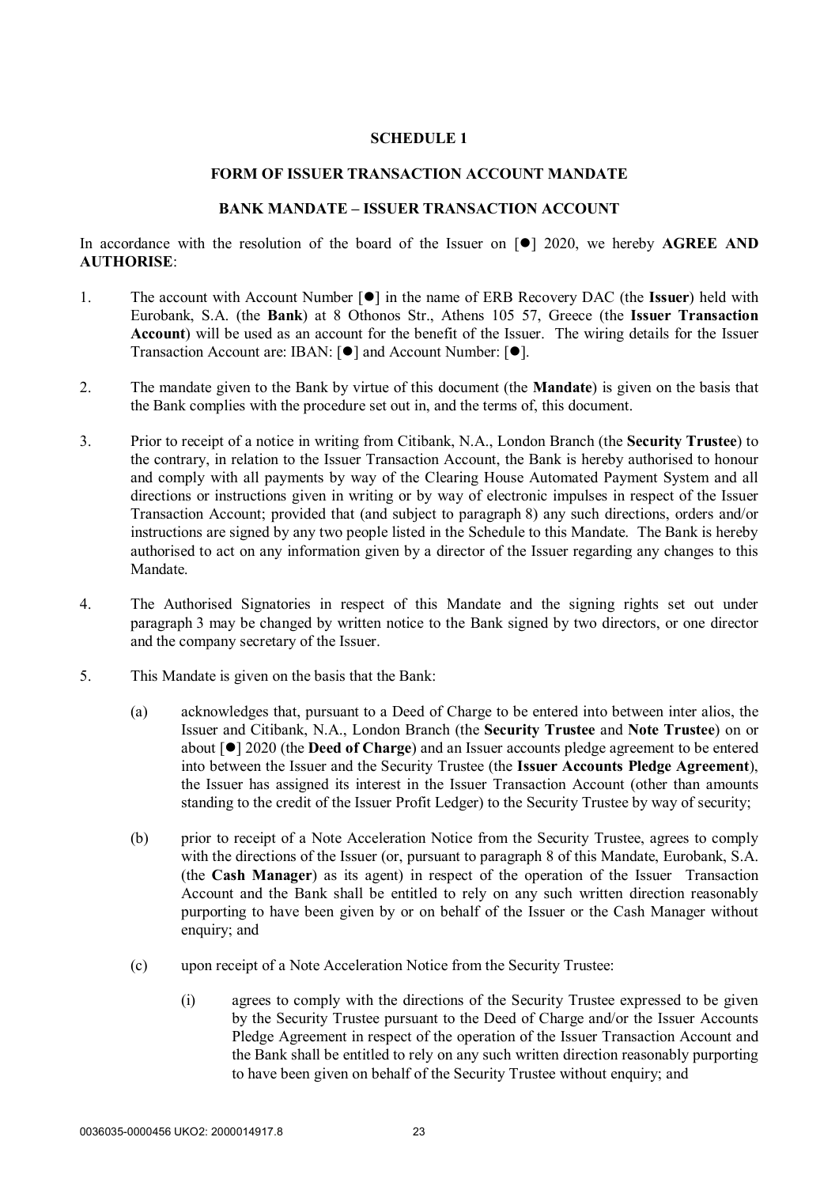#### **FORM OF ISSUER TRANSACTION ACCOUNT MANDATE**

#### **BANK MANDATE – ISSUER TRANSACTION ACCOUNT**

In accordance with the resolution of the board of the Issuer on  $\lceil \bullet \rceil$  2020, we hereby **AGREE AND AUTHORISE**:

- 1. The account with Account Number  $\lceil \bullet \rceil$  in the name of ERB Recovery DAC (the **Issuer**) held with Eurobank, S.A. (the **Bank**) at 8 Othonos Str., Athens 105 57, Greece (the **Issuer Transaction Account**) will be used as an account for the benefit of the Issuer. The wiring details for the Issuer Transaction Account are: IBAN:  $[①]$  and Account Number:  $[④]$ .
- 2. The mandate given to the Bank by virtue of this document (the **Mandate**) is given on the basis that the Bank complies with the procedure set out in, and the terms of, this document.
- 3. Prior to receipt of a notice in writing from Citibank, N.A., London Branch (the **Security Trustee**) to the contrary, in relation to the Issuer Transaction Account, the Bank is hereby authorised to honour and comply with all payments by way of the Clearing House Automated Payment System and all directions or instructions given in writing or by way of electronic impulses in respect of the Issuer Transaction Account; provided that (and subject to paragraph 8) any such directions, orders and/or instructions are signed by any two people listed in the Schedule to this Mandate. The Bank is hereby authorised to act on any information given by a director of the Issuer regarding any changes to this Mandate.
- 4. The Authorised Signatories in respect of this Mandate and the signing rights set out under paragraph 3 may be changed by written notice to the Bank signed by two directors, or one director and the company secretary of the Issuer.
- 5. This Mandate is given on the basis that the Bank:
	- (a) acknowledges that, pursuant to a Deed of Charge to be entered into between inter alios, the Issuer and Citibank, N.A., London Branch (the **Security Trustee** and **Note Trustee**) on or about [] 2020 (the **Deed of Charge**) and an Issuer accounts pledge agreement to be entered into between the Issuer and the Security Trustee (the **Issuer Accounts Pledge Agreement**), the Issuer has assigned its interest in the Issuer Transaction Account (other than amounts standing to the credit of the Issuer Profit Ledger) to the Security Trustee by way of security;
	- (b) prior to receipt of a Note Acceleration Notice from the Security Trustee, agrees to comply with the directions of the Issuer (or, pursuant to paragraph 8 of this Mandate, Eurobank, S.A. (the **Cash Manager**) as its agent) in respect of the operation of the Issuer Transaction Account and the Bank shall be entitled to rely on any such written direction reasonably purporting to have been given by or on behalf of the Issuer or the Cash Manager without enquiry; and
	- (c) upon receipt of a Note Acceleration Notice from the Security Trustee:
		- (i) agrees to comply with the directions of the Security Trustee expressed to be given by the Security Trustee pursuant to the Deed of Charge and/or the Issuer Accounts Pledge Agreement in respect of the operation of the Issuer Transaction Account and the Bank shall be entitled to rely on any such written direction reasonably purporting to have been given on behalf of the Security Trustee without enquiry; and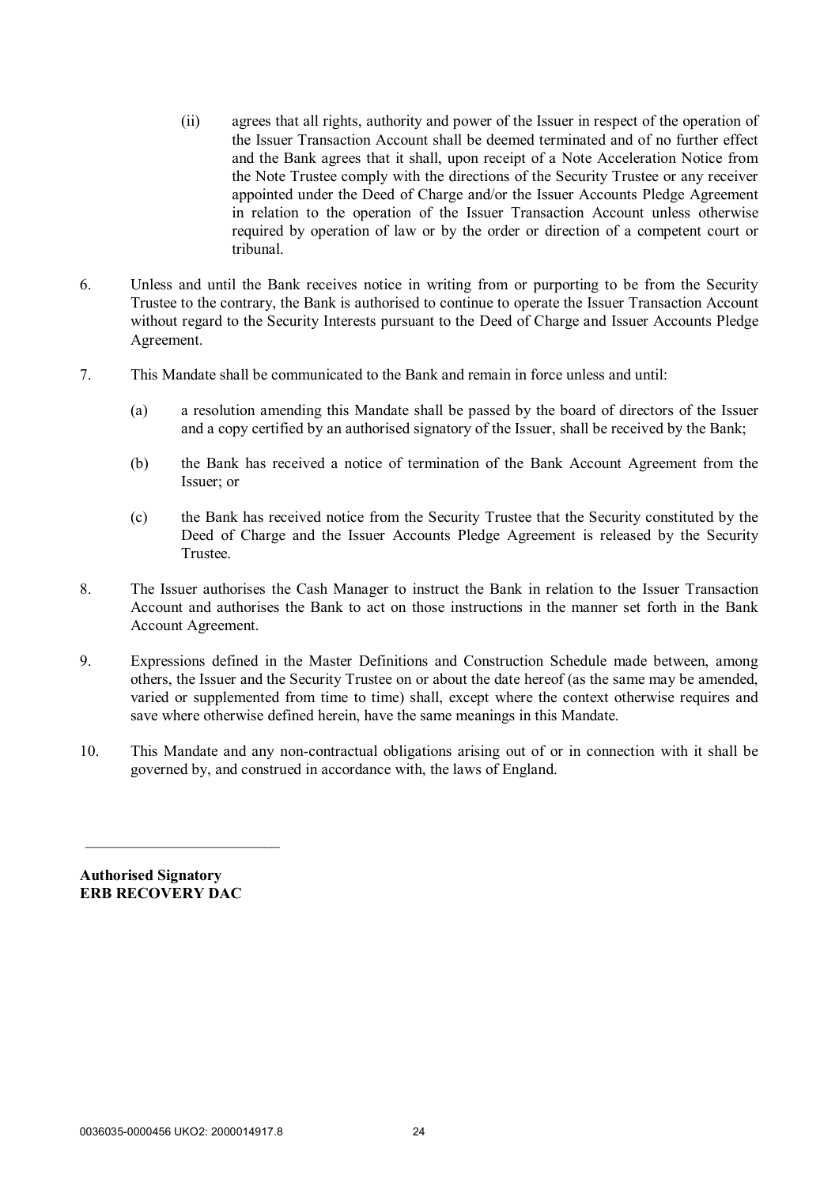- (ii) agrees that all rights, authority and power of the Issuer in respect of the operation of the Issuer Transaction Account shall be deemed terminated and of no further effect and the Bank agrees that it shall, upon receipt of a Note Acceleration Notice from the Note Trustee comply with the directions of the Security Trustee or any receiver appointed under the Deed of Charge and/or the Issuer Accounts Pledge Agreement in relation to the operation of the Issuer Transaction Account unless otherwise required by operation of law or by the order or direction of a competent court or tribunal.
- 6. Unless and until the Bank receives notice in writing from or purporting to be from the Security Trustee to the contrary, the Bank is authorised to continue to operate the Issuer Transaction Account without regard to the Security Interests pursuant to the Deed of Charge and Issuer Accounts Pledge Agreement.
- 7. This Mandate shall be communicated to the Bank and remain in force unless and until:
	- (a) a resolution amending this Mandate shall be passed by the board of directors of the Issuer and a copy certified by an authorised signatory of the Issuer, shall be received by the Bank;
	- (b) the Bank has received a notice of termination of the Bank Account Agreement from the Issuer; or
	- (c) the Bank has received notice from the Security Trustee that the Security constituted by the Deed of Charge and the Issuer Accounts Pledge Agreement is released by the Security Trustee.
- 8. The Issuer authorises the Cash Manager to instruct the Bank in relation to the Issuer Transaction Account and authorises the Bank to act on those instructions in the manner set forth in the Bank Account Agreement.
- 9. Expressions defined in the Master Definitions and Construction Schedule made between, among others, the Issuer and the Security Trustee on or about the date hereof (as the same may be amended, varied or supplemented from time to time) shall, except where the context otherwise requires and save where otherwise defined herein, have the same meanings in this Mandate.
- 10. This Mandate and any non-contractual obligations arising out of or in connection with it shall be governed by, and construed in accordance with, the laws of England.

**Authorised Signatory ERB RECOVERY DAC**

 $\mathcal{L}_\text{max}$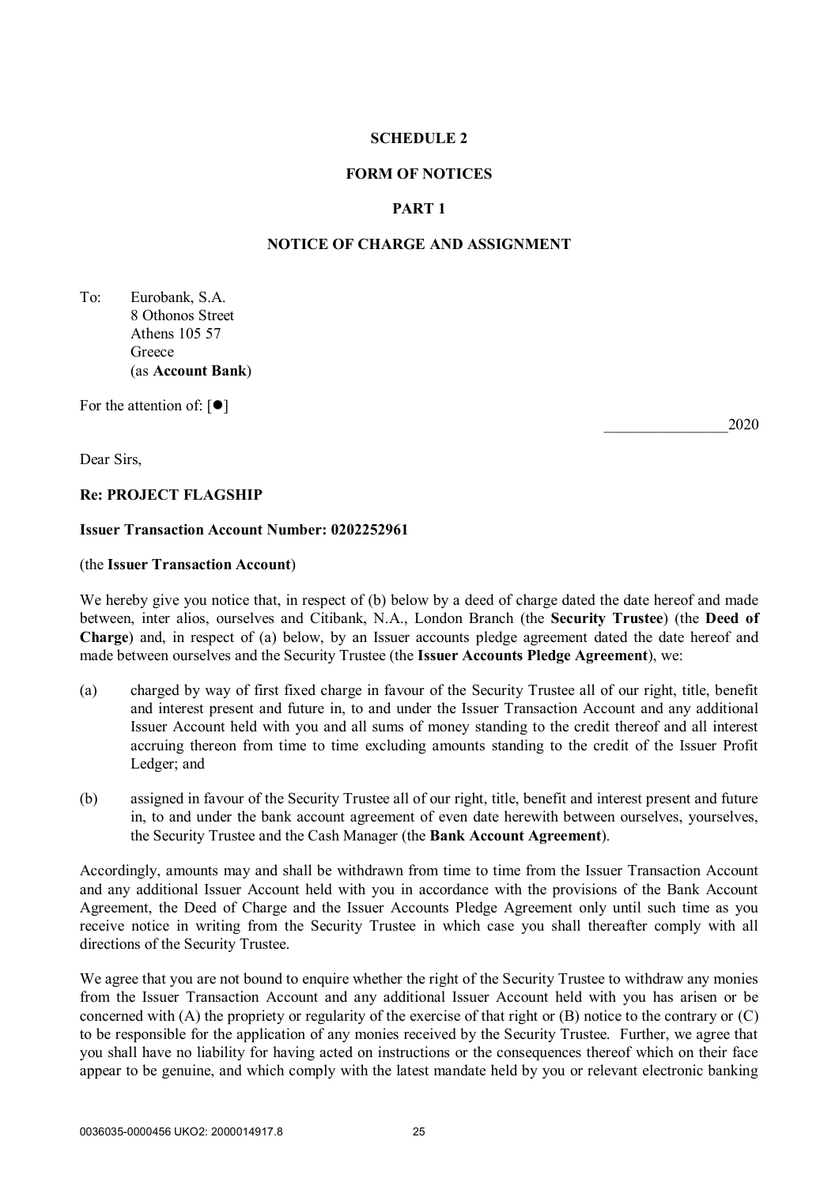### **FORM OF NOTICES**

# **PART 1**

# **NOTICE OF CHARGE AND ASSIGNMENT**

To: Eurobank, S.A. 8 Othonos Street Athens 105 57 Greece (as **Account Bank**)

For the attention of:  $[•]$ 

Dear Sirs,

### **Re: PROJECT FLAGSHIP**

### **Issuer Transaction Account Number: 0202252961**

#### (the **Issuer Transaction Account**)

We hereby give you notice that, in respect of (b) below by a deed of charge dated the date hereof and made between, inter alios, ourselves and Citibank, N.A., London Branch (the **Security Trustee**) (the **Deed of Charge**) and, in respect of (a) below, by an Issuer accounts pledge agreement dated the date hereof and made between ourselves and the Security Trustee (the **Issuer Accounts Pledge Agreement**), we:

- (a) charged by way of first fixed charge in favour of the Security Trustee all of our right, title, benefit and interest present and future in, to and under the Issuer Transaction Account and any additional Issuer Account held with you and all sums of money standing to the credit thereof and all interest accruing thereon from time to time excluding amounts standing to the credit of the Issuer Profit Ledger; and
- (b) assigned in favour of the Security Trustee all of our right, title, benefit and interest present and future in, to and under the bank account agreement of even date herewith between ourselves, yourselves, the Security Trustee and the Cash Manager (the **Bank Account Agreement**).

Accordingly, amounts may and shall be withdrawn from time to time from the Issuer Transaction Account and any additional Issuer Account held with you in accordance with the provisions of the Bank Account Agreement, the Deed of Charge and the Issuer Accounts Pledge Agreement only until such time as you receive notice in writing from the Security Trustee in which case you shall thereafter comply with all directions of the Security Trustee.

We agree that you are not bound to enquire whether the right of the Security Trustee to withdraw any monies from the Issuer Transaction Account and any additional Issuer Account held with you has arisen or be concerned with (A) the propriety or regularity of the exercise of that right or (B) notice to the contrary or (C) to be responsible for the application of any monies received by the Security Trustee. Further, we agree that you shall have no liability for having acted on instructions or the consequences thereof which on their face appear to be genuine, and which comply with the latest mandate held by you or relevant electronic banking

*\_\_\_\_\_\_\_\_\_\_\_\_\_\_\_\_*2020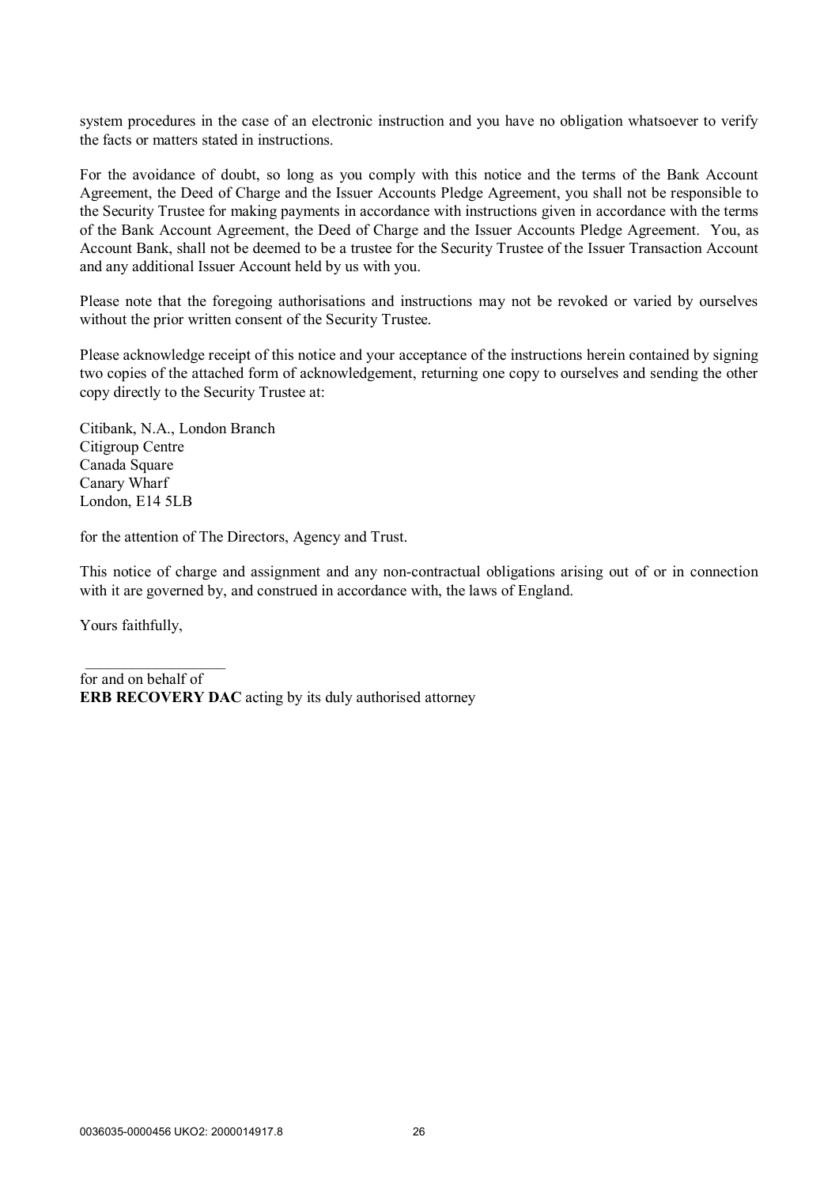system procedures in the case of an electronic instruction and you have no obligation whatsoever to verify the facts or matters stated in instructions.

For the avoidance of doubt, so long as you comply with this notice and the terms of the Bank Account Agreement, the Deed of Charge and the Issuer Accounts Pledge Agreement, you shall not be responsible to the Security Trustee for making payments in accordance with instructions given in accordance with the terms of the Bank Account Agreement, the Deed of Charge and the Issuer Accounts Pledge Agreement. You, as Account Bank, shall not be deemed to be a trustee for the Security Trustee of the Issuer Transaction Account and any additional Issuer Account held by us with you.

Please note that the foregoing authorisations and instructions may not be revoked or varied by ourselves without the prior written consent of the Security Trustee.

Please acknowledge receipt of this notice and your acceptance of the instructions herein contained by signing two copies of the attached form of acknowledgement, returning one copy to ourselves and sending the other copy directly to the Security Trustee at:

Citibank, N.A., London Branch Citigroup Centre Canada Square Canary Wharf London, E14 5LB

for the attention of The Directors, Agency and Trust.

This notice of charge and assignment and any non-contractual obligations arising out of or in connection with it are governed by, and construed in accordance with, the laws of England.

Yours faithfully,

 $\_$ 

for and on behalf of **ERB RECOVERY DAC** acting by its duly authorised attorney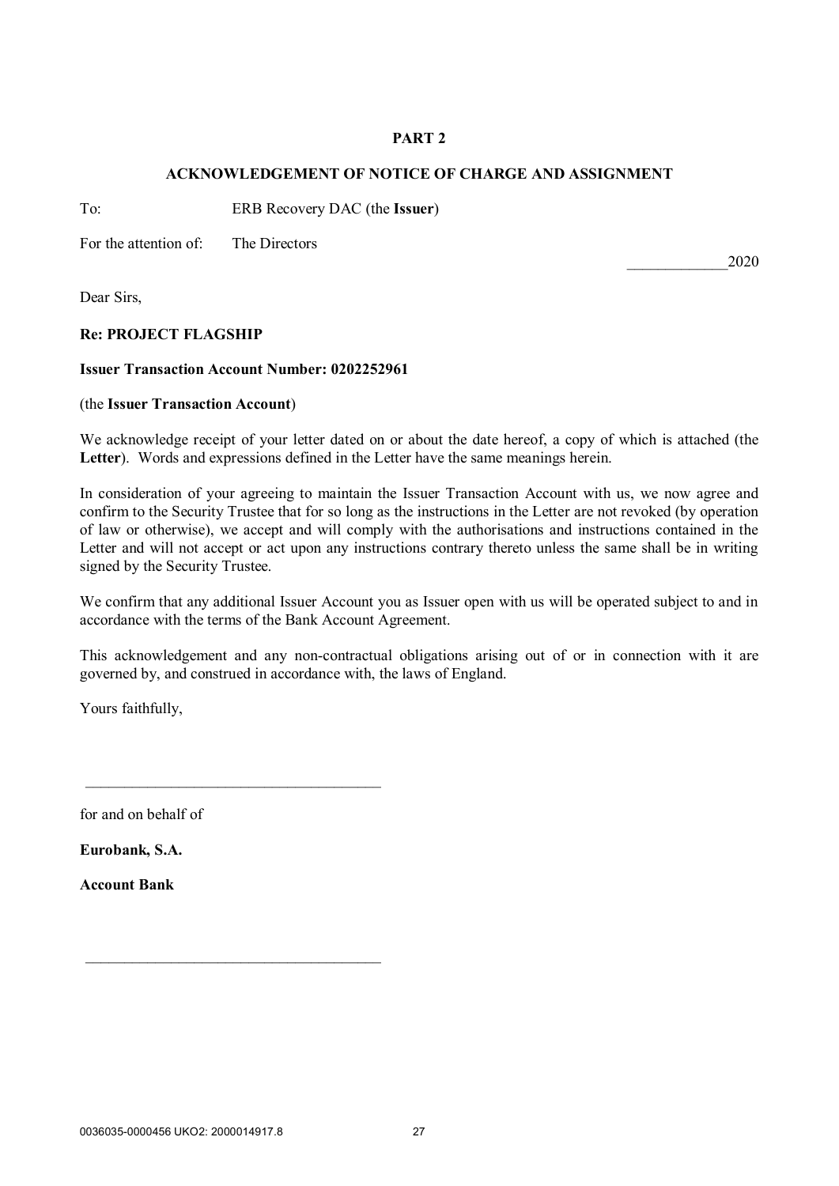# **PART 2**

# **ACKNOWLEDGEMENT OF NOTICE OF CHARGE AND ASSIGNMENT**

To: ERB Recovery DAC (the **Issuer**)

For the attention of: The Directors

Dear Sirs,

# **Re: PROJECT FLAGSHIP**

### **Issuer Transaction Account Number: 0202252961**

 $\mathcal{L}_\text{max}$  and  $\mathcal{L}_\text{max}$  and  $\mathcal{L}_\text{max}$  and  $\mathcal{L}_\text{max}$ 

 $\mathcal{L}_\text{max}$  and  $\mathcal{L}_\text{max}$  and  $\mathcal{L}_\text{max}$  and  $\mathcal{L}_\text{max}$ 

### (the **Issuer Transaction Account**)

We acknowledge receipt of your letter dated on or about the date hereof, a copy of which is attached (the **Letter**). Words and expressions defined in the Letter have the same meanings herein.

In consideration of your agreeing to maintain the Issuer Transaction Account with us, we now agree and confirm to the Security Trustee that for so long as the instructions in the Letter are not revoked (by operation of law or otherwise), we accept and will comply with the authorisations and instructions contained in the Letter and will not accept or act upon any instructions contrary thereto unless the same shall be in writing signed by the Security Trustee.

We confirm that any additional Issuer Account you as Issuer open with us will be operated subject to and in accordance with the terms of the Bank Account Agreement.

This acknowledgement and any non-contractual obligations arising out of or in connection with it are governed by, and construed in accordance with, the laws of England.

Yours faithfully,

for and on behalf of

**Eurobank, S.A.**

**Account Bank**

*\_\_\_\_\_\_\_\_\_\_\_\_\_*2020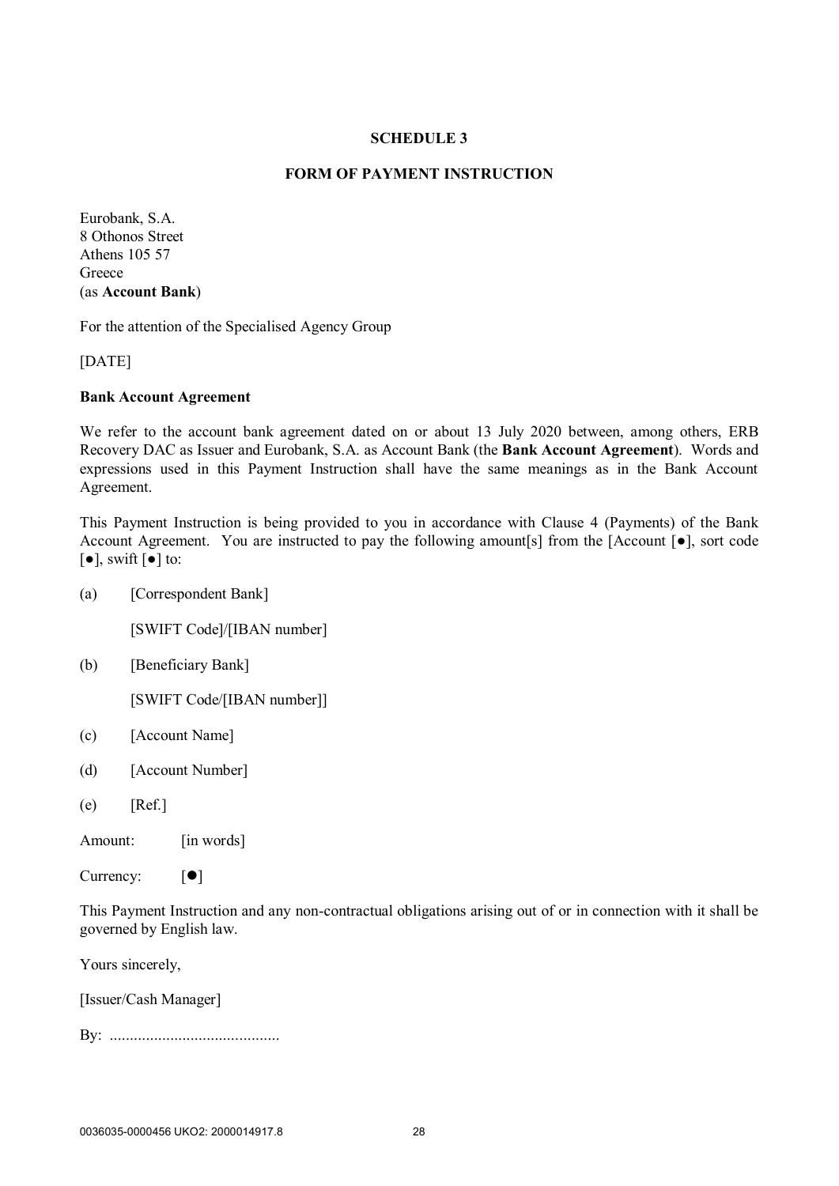# **FORM OF PAYMENT INSTRUCTION**

Eurobank, S.A. 8 Othonos Street Athens 105 57 **Greece** (as **Account Bank**)

For the attention of the Specialised Agency Group

[DATE]

#### **Bank Account Agreement**

We refer to the account bank agreement dated on or about 13 July 2020 between, among others, ERB Recovery DAC as Issuer and Eurobank, S.A. as Account Bank (the **Bank Account Agreement**). Words and expressions used in this Payment Instruction shall have the same meanings as in the Bank Account Agreement.

This Payment Instruction is being provided to you in accordance with Clause 4 (Payments) of the Bank Account Agreement. You are instructed to pay the following amount[s] from the [Account [●], sort code  $\lceil \bullet \rceil$ , swift  $\lceil \bullet \rceil$  to:

(a) [Correspondent Bank]

[SWIFT Code]/[IBAN number]

(b) [Beneficiary Bank]

[SWIFT Code/[IBAN number]]

- (c) [Account Name]
- (d) [Account Number]
- $(e)$  [Ref.]

Amount: [in words]

Currency:  $[\bullet]$ 

This Payment Instruction and any non-contractual obligations arising out of or in connection with it shall be governed by English law.

Yours sincerely,

[Issuer/Cash Manager]

By: ..........................................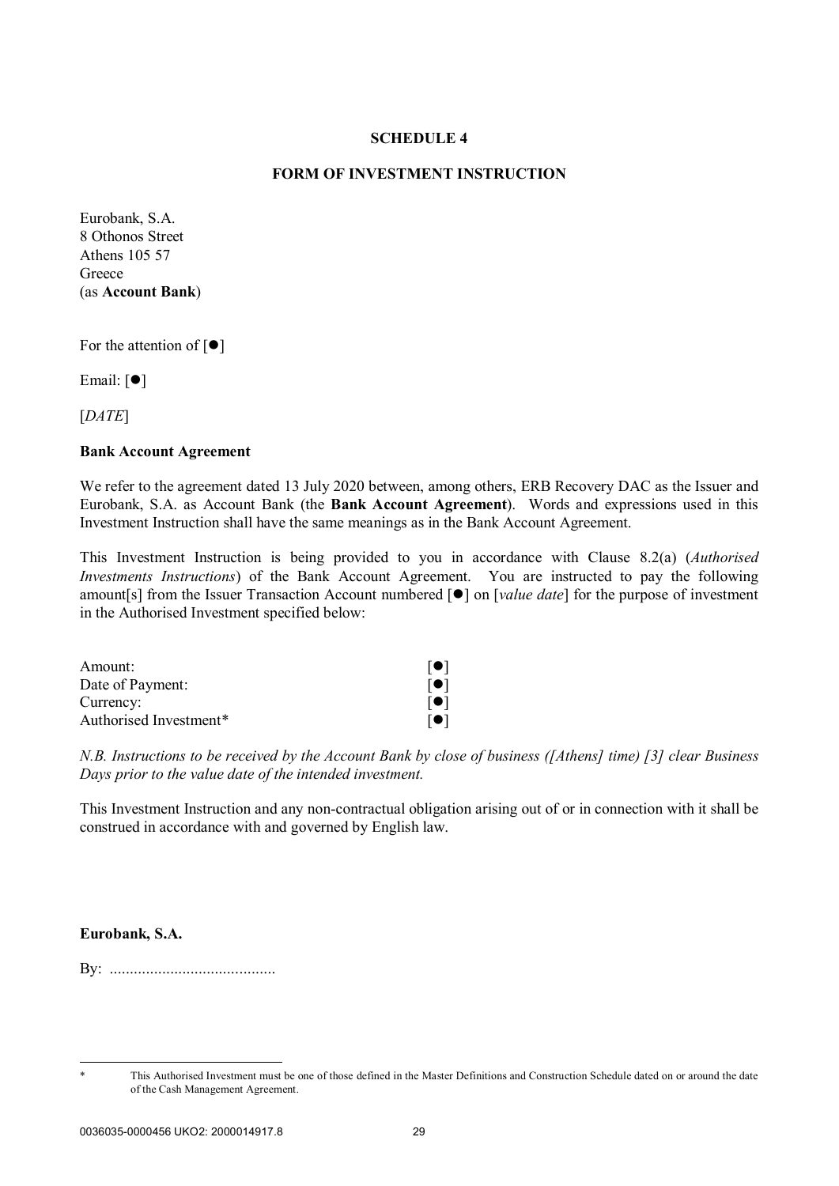## **FORM OF INVESTMENT INSTRUCTION**

Eurobank, S.A. 8 Othonos Street Athens 105 57 **Greece** (as **Account Bank**)

For the attention of  $[\bullet]$ 

Email:  $[$   $\bullet$   $]$ 

[*DATE*]

#### **Bank Account Agreement**

We refer to the agreement dated 13 July 2020 between, among others, ERB Recovery DAC as the Issuer and Eurobank, S.A. as Account Bank (the **Bank Account Agreement**). Words and expressions used in this Investment Instruction shall have the same meanings as in the Bank Account Agreement.

This Investment Instruction is being provided to you in accordance with Clause 8.2(a) (*Authorised Investments Instructions*) of the Bank Account Agreement. You are instructed to pay the following amount[s] from the Issuer Transaction Account numbered [ $\bullet$ ] on [*value date*] for the purpose of investment in the Authorised Investment specified below:

| Amount:                | $[\bullet]$ |
|------------------------|-------------|
| Date of Payment:       | $[\bullet]$ |
| Currency:              | $[\bullet]$ |
| Authorised Investment* | $[\bullet]$ |

*N.B. Instructions to be received by the Account Bank by close of business ([Athens] time) [3] clear Business Days prior to the value date of the intended investment.*

This Investment Instruction and any non-contractual obligation arising out of or in connection with it shall be construed in accordance with and governed by English law.

## **Eurobank, S.A.**

1

By: .........................................

This Authorised Investment must be one of those defined in the Master Definitions and Construction Schedule dated on or around the date of the Cash Management Agreement.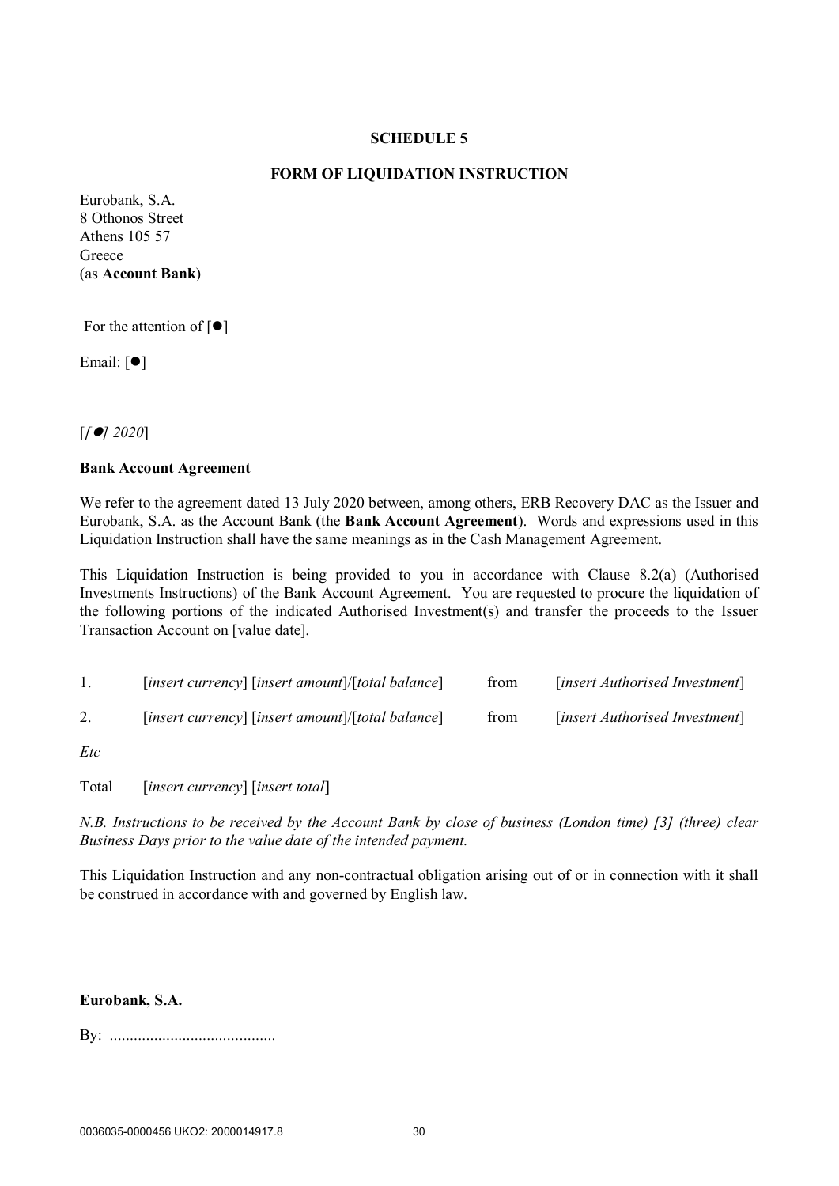# **FORM OF LIQUIDATION INSTRUCTION**

Eurobank, S.A. 8 Othonos Street Athens 105 57 Greece (as **Account Bank**)

For the attention of  $[\bullet]$ 

Email:  $[①]$ 

[*[] 2020*]

### **Bank Account Agreement**

We refer to the agreement dated 13 July 2020 between, among others, ERB Recovery DAC as the Issuer and Eurobank, S.A. as the Account Bank (the **Bank Account Agreement**). Words and expressions used in this Liquidation Instruction shall have the same meanings as in the Cash Management Agreement.

This Liquidation Instruction is being provided to you in accordance with Clause 8.2(a) (Authorised Investments Instructions) of the Bank Account Agreement. You are requested to procure the liquidation of the following portions of the indicated Authorised Investment(s) and transfer the proceeds to the Issuer Transaction Account on [value date].

| $[insert \, currency]$ $[insert \, amount]/[total \, balance]$ | from | [insert Authorised Investment] |
|----------------------------------------------------------------|------|--------------------------------|
| $[insert \, currency]$ $[insert \, amount]/[total \, balance]$ | from | [insert Authorised Investment] |

*Etc*

Total [*insert currency*] [*insert total*]

*N.B. Instructions to be received by the Account Bank by close of business (London time) [3] (three) clear Business Days prior to the value date of the intended payment.*

This Liquidation Instruction and any non-contractual obligation arising out of or in connection with it shall be construed in accordance with and governed by English law.

### **Eurobank, S.A.**

By: .........................................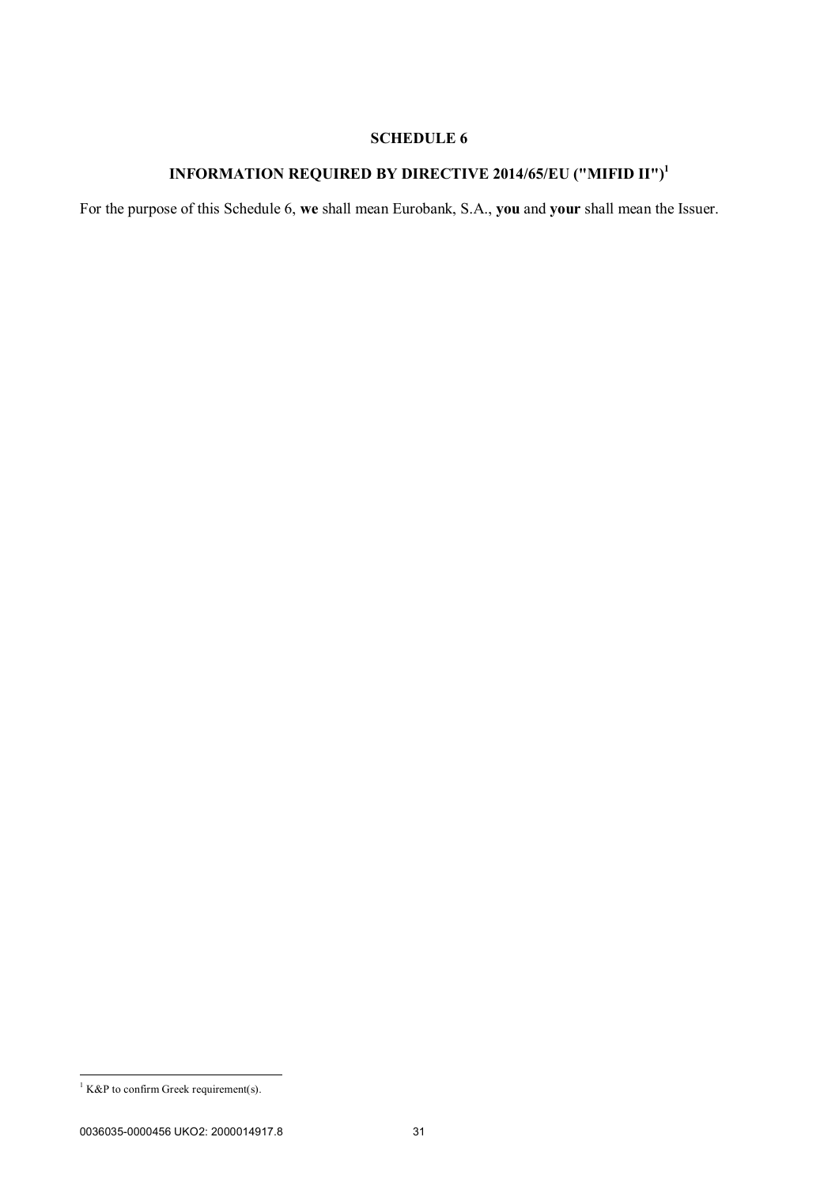# **INFORMATION REQUIRED BY DIRECTIVE 2014/65/EU ("MIFID II")<sup>1</sup>**

For the purpose of this Schedule 6, **we** shall mean Eurobank, S.A., **you** and **your** shall mean the Issuer.

1

 $<sup>1</sup>$  K&P to confirm Greek requirement(s).</sup>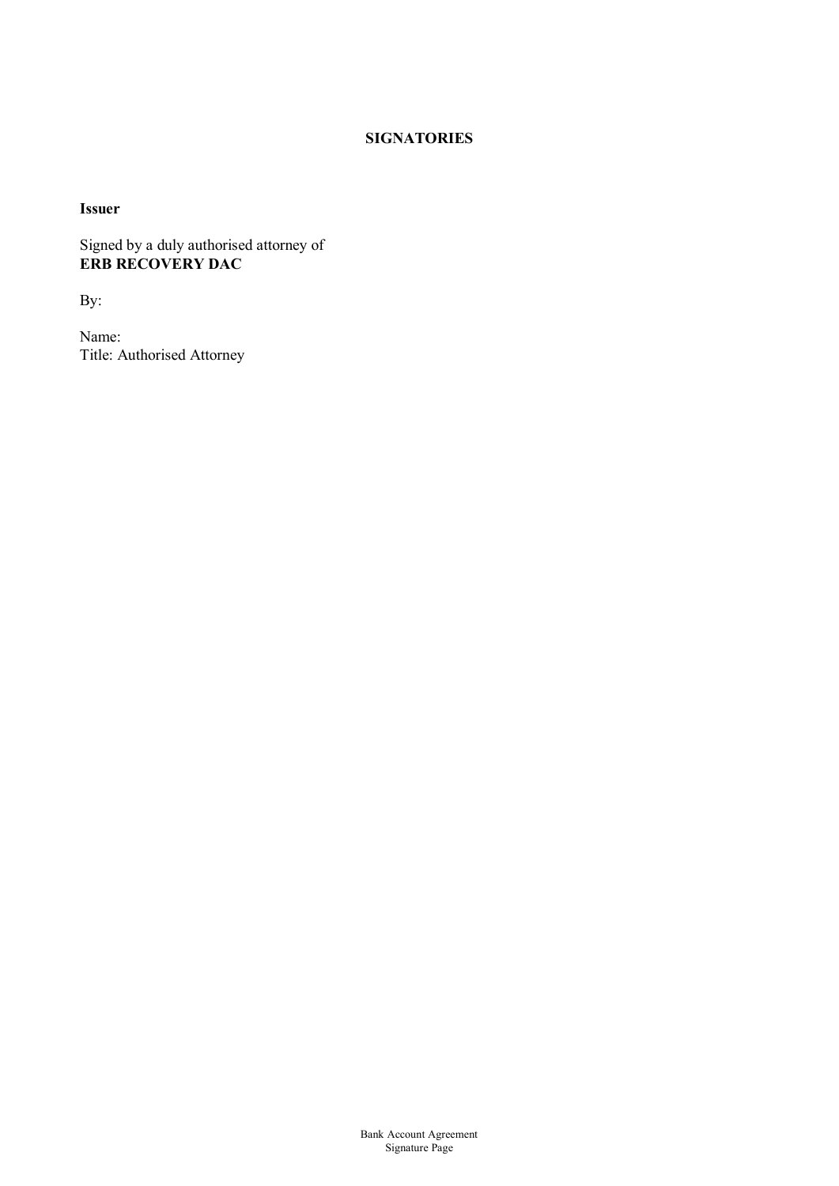# **SIGNATORIES**

**Issuer**

Signed by a duly authorised attorney of **ERB RECOVERY DAC**

By:

Name: Title: Authorised Attorney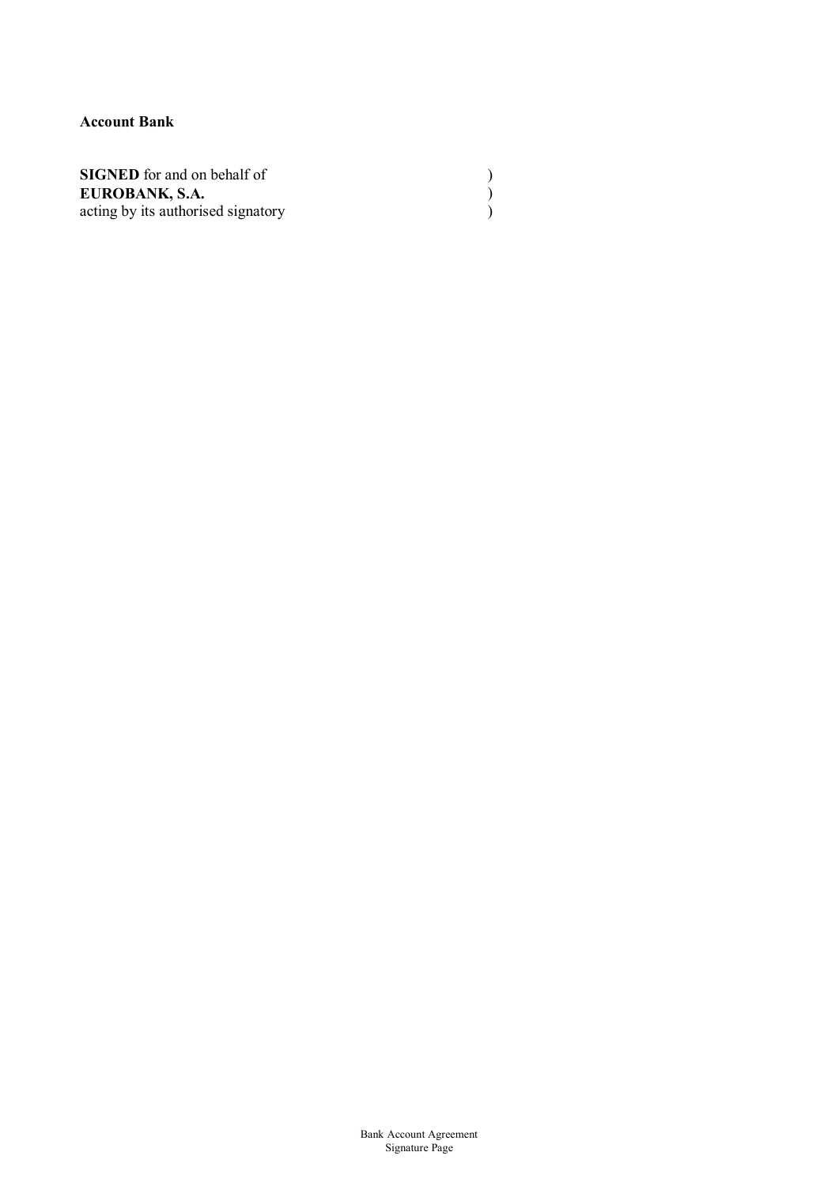# **Account Bank**

| <b>SIGNED</b> for and on behalf of |  |
|------------------------------------|--|
| EUROBANK, S.A.                     |  |
| acting by its authorised signatory |  |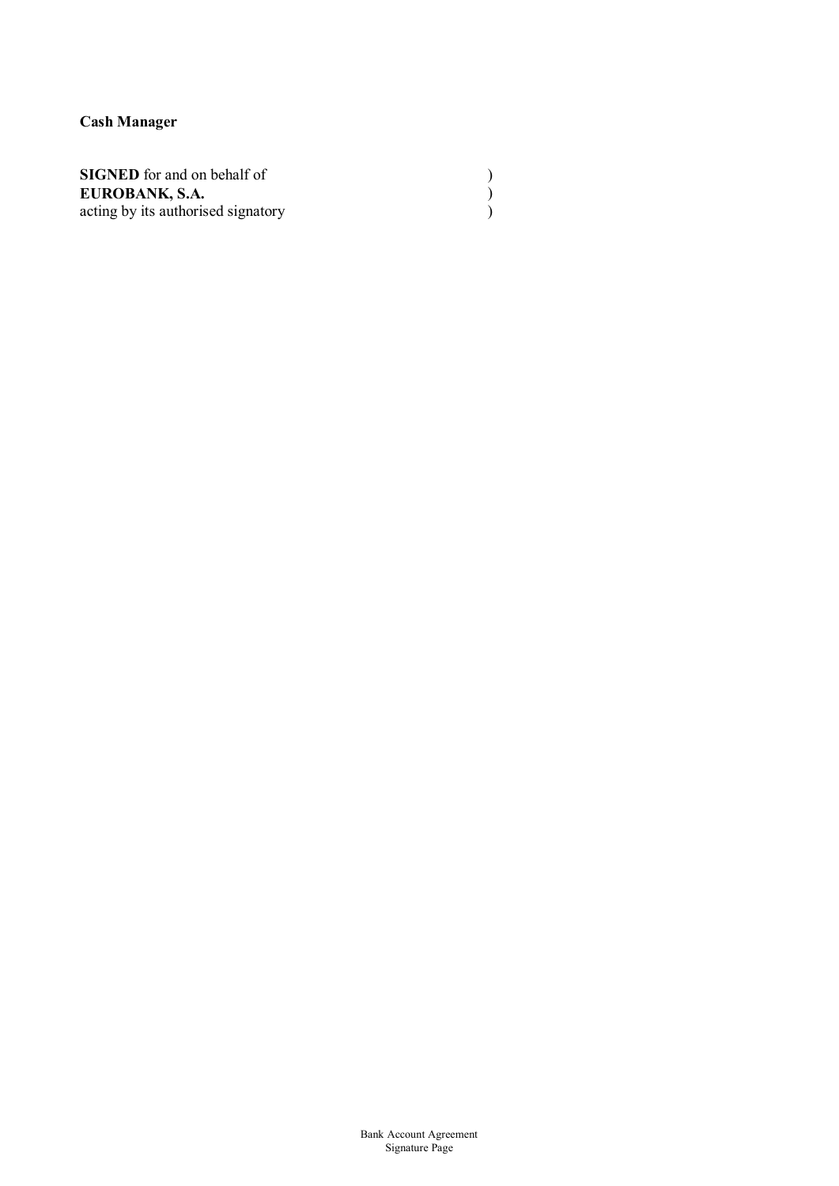**Cash Manager**

| <b>SIGNED</b> for and on behalf of |  |
|------------------------------------|--|
| EUROBANK, S.A.                     |  |
| acting by its authorised signatory |  |